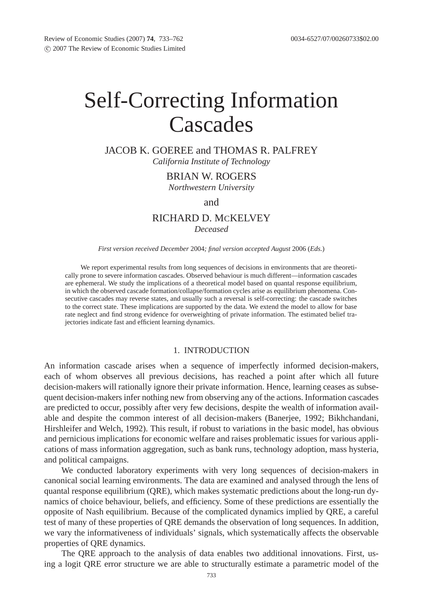# Self-Correcting Information Cascades

## JACOB K. GOEREE and THOMAS R. PALFREY *California Institute of Technology*

## BRIAN W. ROGERS

*Northwestern University*

#### and

# RICHARD D. MCKELVEY

*Deceased*

*First version received December* 2004*; final version accepted August* 2006 (*Eds.*)

We report experimental results from long sequences of decisions in environments that are theoretically prone to severe information cascades. Observed behaviour is much different—information cascades are ephemeral. We study the implications of a theoretical model based on quantal response equilibrium, in which the observed cascade formation/collapse/formation cycles arise as equilibrium phenomena. Consecutive cascades may reverse states, and usually such a reversal is self-correcting: the cascade switches to the correct state. These implications are supported by the data. We extend the model to allow for base rate neglect and find strong evidence for overweighting of private information. The estimated belief trajectories indicate fast and efficient learning dynamics.

#### 1. INTRODUCTION

An information cascade arises when a sequence of imperfectly informed decision-makers, each of whom observes all previous decisions, has reached a point after which all future decision-makers will rationally ignore their private information. Hence, learning ceases as subsequent decision-makers infer nothing new from observing any of the actions. Information cascades are predicted to occur, possibly after very few decisions, despite the wealth of information available and despite the common interest of all decision-makers (Banerjee, 1992; Bikhchandani, Hirshleifer and Welch, 1992). This result, if robust to variations in the basic model, has obvious and pernicious implications for economic welfare and raises problematic issues for various applications of mass information aggregation, such as bank runs, technology adoption, mass hysteria, and political campaigns.

We conducted laboratory experiments with very long sequences of decision-makers in canonical social learning environments. The data are examined and analysed through the lens of quantal response equilibrium (QRE), which makes systematic predictions about the long-run dynamics of choice behaviour, beliefs, and efficiency. Some of these predictions are essentially the opposite of Nash equilibrium. Because of the complicated dynamics implied by QRE, a careful test of many of these properties of QRE demands the observation of long sequences. In addition, we vary the informativeness of individuals' signals, which systematically affects the observable properties of QRE dynamics.

The QRE approach to the analysis of data enables two additional innovations. First, using a logit QRE error structure we are able to structurally estimate a parametric model of the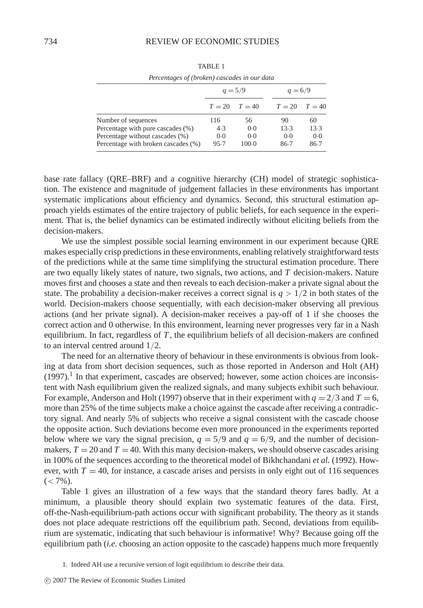| TABLE 1                                      |  |
|----------------------------------------------|--|
| Percentages of (broken) cascades in our data |  |

|                                     |      | $q = 5/9$         |        | $q = 6/9$ |  |  |  |  |  |
|-------------------------------------|------|-------------------|--------|-----------|--|--|--|--|--|
|                                     |      | $T = 20$ $T = 40$ | $T=20$ | $T=40$    |  |  |  |  |  |
| Number of sequences                 | 116  | 56                | 90     | 60        |  |  |  |  |  |
| Percentage with pure cascades (%)   | 4.3  | 0.0               | 13.3   | 13.3      |  |  |  |  |  |
| Percentage without cascades (%)     | 0.0  | 0.0               | $0-0$  | 0.0       |  |  |  |  |  |
| Percentage with broken cascades (%) | 95.7 | 100.0             | 86.7   | $86-7$    |  |  |  |  |  |

base rate fallacy (QRE–BRF) and a cognitive hierarchy (CH) model of strategic sophistication. The existence and magnitude of judgement fallacies in these environments has important systematic implications about efficiency and dynamics. Second, this structural estimation approach yields estimates of the entire trajectory of public beliefs, for each sequence in the experiment. That is, the belief dynamics can be estimated indirectly without eliciting beliefs from the decision-makers.

We use the simplest possible social learning environment in our experiment because QRE makes especially crisp predictions in these environments, enabling relatively straightforward tests of the predictions while at the same time simplifying the structural estimation procedure. There are two equally likely states of nature, two signals, two actions, and *T* decision-makers. Nature moves first and chooses a state and then reveals to each decision-maker a private signal about the state. The probability a decision-maker receives a correct signal is  $q > 1/2$  in both states of the world. Decision-makers choose sequentially, with each decision-maker observing all previous actions (and her private signal). A decision-maker receives a pay-off of 1 if she chooses the correct action and 0 otherwise. In this environment, learning never progresses very far in a Nash equilibrium. In fact, regardless of *T* , the equilibrium beliefs of all decision-makers are confined to an interval centred around 1/2.

The need for an alternative theory of behaviour in these environments is obvious from looking at data from short decision sequences, such as those reported in Anderson and Holt (AH)  $(1997).$ <sup>1</sup> In that experiment, cascades are observed; however, some action choices are inconsistent with Nash equilibrium given the realized signals, and many subjects exhibit such behaviour. For example, Anderson and Holt (1997) observe that in their experiment with  $q = 2/3$  and  $T = 6$ , more than 25% of the time subjects make a choice against the cascade after receiving a contradictory signal. And nearly 5% of subjects who receive a signal consistent with the cascade choose the opposite action. Such deviations become even more pronounced in the experiments reported below where we vary the signal precision,  $q = 5/9$  and  $q = 6/9$ , and the number of decisionmakers,  $T = 20$  and  $T = 40$ . With this many decision-makers, we should observe cascades arising in 100% of the sequences according to the theoretical model of Bikhchandani *et al.* (1992). However, with  $T = 40$ , for instance, a cascade arises and persists in only eight out of 116 sequences  $(< 7\%)$ .

Table 1 gives an illustration of a few ways that the standard theory fares badly. At a minimum, a plausible theory should explain two systematic features of the data. First, off-the-Nash-equilibrium-path actions occur with significant probability. The theory as it stands does not place adequate restrictions off the equilibrium path. Second, deviations from equilibrium are systematic, indicating that such behaviour is informative! Why? Because going off the equilibrium path (*i.e.* choosing an action opposite to the cascade) happens much more frequently

1. Indeed AH use a recursive version of logit equilibrium to describe their data.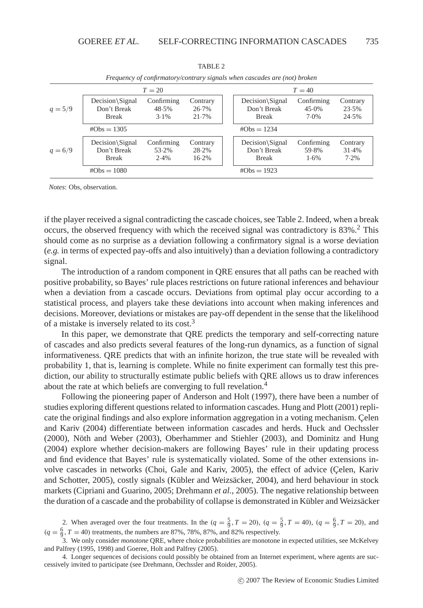|           |                                                | $T=20$                      |                            |                                                | $T=40$                         |                            |
|-----------|------------------------------------------------|-----------------------------|----------------------------|------------------------------------------------|--------------------------------|----------------------------|
| $q = 5/9$ | Decision\Signal<br>Don't Break<br><b>Break</b> | Confirming<br>48.5%<br>3.1% | Contrary<br>26.7%<br>21.7% | Decision\Signal<br>Don't Break<br><b>Break</b> | Confirming<br>45.0%<br>$7.0\%$ | Contrary<br>23.5%<br>24.5% |
|           | $#Obs = 1305$                                  |                             |                            | $#Obs = 1234$                                  |                                |                            |
| $q = 6/9$ | Decision\Signal<br>Don't Break<br><b>Break</b> | Confirming<br>53.2%<br>2.4% | Contrary<br>28.2%<br>16.2% | Decision\Signal<br>Don't Break<br><b>Break</b> | Confirming<br>59.8%<br>1.6%    | Contrary<br>31.4%<br>7.2%  |
|           | $#Obs = 1080$                                  |                             |                            | $#Obs = 1923$                                  |                                |                            |

TABLE 2 *Frequency of confirmatory/contrary signals when cascades are (not) broken*

*Notes*: Obs, observation.

if the player received a signal contradicting the cascade choices, see Table 2. Indeed, when a break occurs, the observed frequency with which the received signal was contradictory is 83%.<sup>2</sup> This should come as no surprise as a deviation following a confirmatory signal is a worse deviation (*e.g.* in terms of expected pay-offs and also intuitively) than a deviation following a contradictory signal.

The introduction of a random component in QRE ensures that all paths can be reached with positive probability, so Bayes' rule places restrictions on future rational inferences and behaviour when a deviation from a cascade occurs. Deviations from optimal play occur according to a statistical process, and players take these deviations into account when making inferences and decisions. Moreover, deviations or mistakes are pay-off dependent in the sense that the likelihood of a mistake is inversely related to its cost.3

In this paper, we demonstrate that QRE predicts the temporary and self-correcting nature of cascades and also predicts several features of the long-run dynamics, as a function of signal informativeness. QRE predicts that with an infinite horizon, the true state will be revealed with probability 1, that is, learning is complete. While no finite experiment can formally test this prediction, our ability to structurally estimate public beliefs with QRE allows us to draw inferences about the rate at which beliefs are converging to full revelation.4

Following the pioneering paper of Anderson and Holt (1997), there have been a number of studies exploring different questions related to information cascades. Hung and Plott (2001) replicate the original findings and also explore information aggregation in a voting mechanism. Çelen and Kariv (2004) differentiate between information cascades and herds. Huck and Oechssler (2000), Nöth and Weber (2003), Oberhammer and Stiehler (2003), and Dominitz and Hung (2004) explore whether decision-makers are following Bayes' rule in their updating process and find evidence that Bayes' rule is systematically violated. Some of the other extensions involve cascades in networks (Choi, Gale and Kariv, 2005), the effect of advice (Çelen, Kariv and Schotter, 2005), costly signals (Kübler and Weizsäcker, 2004), and herd behaviour in stock markets (Cipriani and Guarino, 2005; Drehmann *et al.*, 2005). The negative relationship between the duration of a cascade and the probability of collapse is demonstrated in Kübler and Weizsäcker

2. When averaged over the four treatments. In the  $(q = \frac{5}{9}, T = 20)$ ,  $(q = \frac{5}{9}, T = 40)$ ,  $(q = \frac{6}{9}, T = 20)$ , and  $(q = \frac{6}{9}, T = 40)$  treatments, the numbers are 87%, 78%, 87%, and 82% respectively.

3. We only consider *monotone* QRE, where choice probabilities are monotone in expected utilities, see McKelvey and Palfrey (1995, 1998) and Goeree, Holt and Palfrey (2005).

<sup>4.</sup> Longer sequences of decisions could possibly be obtained from an Internet experiment, where agents are successively invited to participate (see Drehmann, Oechssler and Roider, 2005).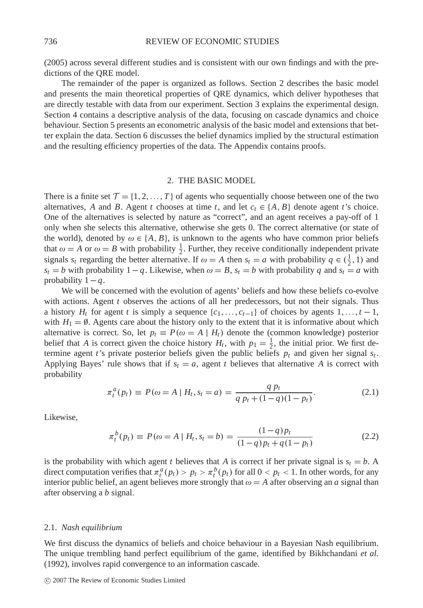(2005) across several different studies and is consistent with our own findings and with the predictions of the QRE model.

The remainder of the paper is organized as follows. Section 2 describes the basic model and presents the main theoretical properties of QRE dynamics, which deliver hypotheses that are directly testable with data from our experiment. Section 3 explains the experimental design. Section 4 contains a descriptive analysis of the data, focusing on cascade dynamics and choice behaviour. Section 5 presents an econometric analysis of the basic model and extensions that better explain the data. Section 6 discusses the belief dynamics implied by the structural estimation and the resulting efficiency properties of the data. The Appendix contains proofs.

#### 2. THE BASIC MODEL

There is a finite set  $\mathcal{T} = \{1, 2, ..., T\}$  of agents who sequentially choose between one of the two alternatives, *A* and *B*. Agent *t* chooses at time *t*, and let  $c_t \in \{A, B\}$  denote agent *t*'s choice. One of the alternatives is selected by nature as "correct", and an agent receives a pay-off of 1 only when she selects this alternative, otherwise she gets 0. The correct alternative (or state of the world), denoted by  $\omega \in \{A, B\}$ , is unknown to the agents who have common prior beliefs that  $\omega = A$  or  $\omega = B$  with probability  $\frac{1}{2}$ . Further, they receive conditionally independent private signals  $s_t$  regarding the better alternative. If  $\omega = A$  then  $s_t = a$  with probability  $q \in (\frac{1}{2}, 1)$  and  $s_t = b$  with probability 1−*q*. Likewise, when  $\omega = B$ ,  $s_t = b$  with probability *q* and  $s_t = a$  with probability 1−*q*.

We will be concerned with the evolution of agents' beliefs and how these beliefs co-evolve with actions. Agent *t* observes the actions of all her predecessors, but not their signals. Thus a history  $H_t$  for agent *t* is simply a sequence  $\{c_1, \ldots, c_{t-1}\}$  of choices by agents  $1, \ldots, t-1$ , with  $H_1 = \emptyset$ . Agents care about the history only to the extent that it is informative about which alternative is correct. So, let  $p_t \equiv P(\omega = A \mid H_t)$  denote the (common knowledge) posterior belief that *A* is correct given the choice history  $H_t$ , with  $p_1 = \frac{1}{2}$ , the initial prior. We first determine agent *t*'s private posterior beliefs given the public beliefs  $p_t$  and given her signal  $s_t$ . Applying Bayes' rule shows that if  $s_t = a$ , agent *t* believes that alternative *A* is correct with probability

$$
\pi_t^a(p_t) \equiv P(\omega = A \mid H_t, s_t = a) = \frac{q p_t}{q p_t + (1 - q)(1 - p_t)}.
$$
\n(2.1)

Likewise,

$$
\pi_t^b(p_t) \equiv P(\omega = A \mid H_t, s_t = b) = \frac{(1-q)p_t}{(1-q)p_t + q(1-p_t)}
$$
(2.2)

is the probability with which agent *t* believes that *A* is correct if her private signal is  $s_t = b$ . A direct computation verifies that  $\pi_t^a(p_t) > p_t > \pi_t^b(p_t)$  for all  $0 < p_t < 1$ . In other words, for any interior public belief, an agent believes more strongly that  $\omega = A$  after observing an *a* signal than after observing a *b* signal.

#### 2.1. *Nash equilibrium*

We first discuss the dynamics of beliefs and choice behaviour in a Bayesian Nash equilibrium. The unique trembling hand perfect equilibrium of the game, identified by Bikhchandani *et al.* (1992), involves rapid convergence to an information cascade.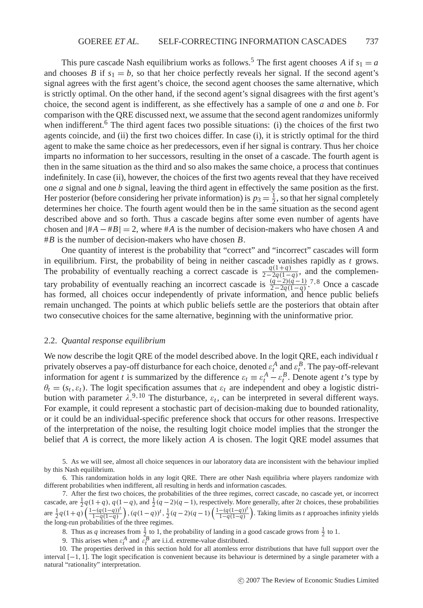This pure cascade Nash equilibrium works as follows.<sup>5</sup> The first agent chooses *A* if  $s_1 = a$ and chooses *B* if  $s_1 = b$ , so that her choice perfectly reveals her signal. If the second agent's signal agrees with the first agent's choice, the second agent chooses the same alternative, which is strictly optimal. On the other hand, if the second agent's signal disagrees with the first agent's choice, the second agent is indifferent, as she effectively has a sample of one *a* and one *b*. For comparison with the QRE discussed next, we assume that the second agent randomizes uniformly when indifferent.<sup>6</sup> The third agent faces two possible situations: (i) the choices of the first two agents coincide, and (ii) the first two choices differ. In case (i), it is strictly optimal for the third agent to make the same choice as her predecessors, even if her signal is contrary. Thus her choice imparts no information to her successors, resulting in the onset of a cascade. The fourth agent is then in the same situation as the third and so also makes the same choice, a process that continues indefinitely. In case (ii), however, the choices of the first two agents reveal that they have received one *a* signal and one *b* signal, leaving the third agent in effectively the same position as the first. Her posterior (before considering her private information) is  $p_3 = \frac{1}{2}$ , so that her signal completely determines her choice. The fourth agent would then be in the same situation as the second agent described above and so forth. Thus a cascade begins after some even number of agents have chosen and  $|#A - #B| = 2$ , where  $#A$  is the number of decision-makers who have chosen *A* and #*B* is the number of decision-makers who have chosen *B*.

One quantity of interest is the probability that "correct" and "incorrect" cascades will form in equilibrium. First, the probability of being in neither cascade vanishes rapidly as *t* grows. The probability of eventually reaching a correct cascade is  $\frac{q(1+q)}{2-\frac{2q(1-q)}{q}}$ , and the complementary probability of eventually reaching an incorrect cascade is  $\frac{(q-2)(q-1)}{2-2q(1-q)}$ .<sup>7</sup>,8 Once a cascade has formed, all choices occur independently of private information, and hence public beliefs remain unchanged. The points at which public beliefs settle are the posteriors that obtain after two consecutive choices for the same alternative, beginning with the uninformative prior.

#### 2.2. *Quantal response equilibrium*

We now describe the logit QRE of the model described above. In the logit QRE, each individual *t* privately observes a pay-off disturbance for each choice, denoted  $\varepsilon_t^A$  and  $\varepsilon_t^B$ . The pay-off-relevant information for agent *t* is summarized by the difference  $\varepsilon_t \equiv \varepsilon_t^A - \varepsilon_t^B$ . Denote agent *t*'s type by  $\theta_t = (s_t, \varepsilon_t)$ . The logit specification assumes that  $\varepsilon_t$  are independent and obey a logistic distribution with parameter  $\lambda$ <sup>9,10</sup> The disturbance,  $\varepsilon$ <sub>t</sub>, can be interpreted in several different ways. For example, it could represent a stochastic part of decision-making due to bounded rationality, or it could be an individual-specific preference shock that occurs for other reasons. Irrespective of the interpretation of the noise, the resulting logit choice model implies that the stronger the belief that *A* is correct, the more likely action *A* is chosen. The logit QRE model assumes that

5. As we will see, almost all choice sequences in our laboratory data are inconsistent with the behaviour implied by this Nash equilibrium.

6. This randomization holds in any logit QRE. There are other Nash equilibria where players randomize with different probabilities when indifferent, all resulting in herds and information cascades.

7. After the first two choices, the probabilities of the three regimes, correct cascade, no cascade yet, or incorrect cascade, are  $\frac{1}{2}q(1+q)$ ,  $q(1-q)$ , and  $\frac{1}{2}(q-2)(q-1)$ , respectively. More generally, after 2*t* choices, these probabilities are  $\frac{1}{2}q(1+q)\left(\frac{1-(q(1-q))'}{1-q(1-q)}\right)$ ,  $(q(1-q))'$ ,  $\frac{1}{2}(q-2)(q-1)\left(\frac{1-(q(1-q))'}{1-q(1-q)}\right)$ . Taking limits as t approaches infinity yields the long-run probabilities of the three regimes.

- 8. Thus as *q* increases from  $\frac{1}{2}$  to 1, the probability of landing in a good cascade grows from  $\frac{1}{2}$  to 1.
	- 9. This arises when  $\varepsilon_t^A$  and  $\varepsilon_t^B$  are i.i.d. extreme-value distributed.

10. The properties derived in this section hold for all atomless error distributions that have full support over the interval [−1,1]. The logit specification is convenient because its behaviour is determined by a single parameter with a natural "rationality" interpretation.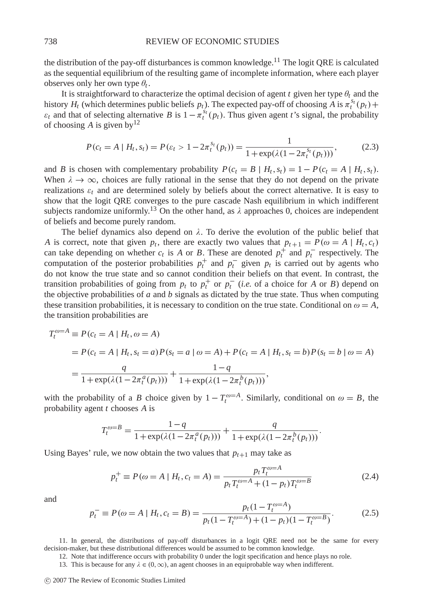the distribution of the pay-off disturbances is common knowledge.11 The logit QRE is calculated as the sequential equilibrium of the resulting game of incomplete information, where each player observes only her own type  $\theta_t$ .

It is straightforward to characterize the optimal decision of agent  $t$  given her type  $\theta_t$  and the history *H<sub>t</sub>* (which determines public beliefs  $p_t$ ). The expected pay-off of choosing *A* is  $\pi_t^{s_t}(p_t)$  +  $\varepsilon_t$  and that of selecting alternative *B* is  $1 - \pi_t^{s_t}(p_t)$ . Thus given agent *t*'s signal, the probability of choosing *A* is given by  $12$ 

$$
P(c_t = A \mid H_t, s_t) = P(\varepsilon_t > 1 - 2\pi_t^{s_t}(p_t)) = \frac{1}{1 + \exp(\lambda(1 - 2\pi_t^{s_t}(p_t)))},
$$
(2.3)

and *B* is chosen with complementary probability  $P(c_t = B \mid H_t, s_t) = 1 - P(c_t = A \mid H_t, s_t)$ . When  $\lambda \to \infty$ , choices are fully rational in the sense that they do not depend on the private realizations  $\varepsilon_t$  and are determined solely by beliefs about the correct alternative. It is easy to show that the logit QRE converges to the pure cascade Nash equilibrium in which indifferent subjects randomize uniformly.<sup>13</sup> On the other hand, as  $\lambda$  approaches 0, choices are independent of beliefs and become purely random.

The belief dynamics also depend on  $\lambda$ . To derive the evolution of the public belief that *A* is correct, note that given  $p_t$ , there are exactly two values that  $p_{t+1} = P(\omega = A | H_t, c_t)$ can take depending on whether  $c_t$  is *A* or *B*. These are denoted  $p_t^+$  and  $p_t^-$  respectively. The computation of the posterior probabilities  $p_t^+$  and  $p_t^-$  given  $p_t$  is carried out by agents who do not know the true state and so cannot condition their beliefs on that event. In contrast, the transition probabilities of going from  $p_t$  to  $p_t^+$  or  $p_t^-$  (*i.e.* of a choice for *A* or *B*) depend on the objective probabilities of *a* and *b* signals as dictated by the true state. Thus when computing these transition probabilities, it is necessary to condition on the true state. Conditional on  $\omega = A$ , the transition probabilities are

$$
T_t^{\omega=A} \equiv P(c_t = A \mid H_t, \omega = A)
$$
  
=  $P(c_t = A \mid H_t, s_t = a) P(s_t = a \mid \omega = A) + P(c_t = A \mid H_t, s_t = b) P(s_t = b \mid \omega = A)$   
=  $\frac{q}{1 + \exp(\lambda(1 - 2\pi_t^a(p_t)))} + \frac{1 - q}{1 + \exp(\lambda(1 - 2\pi_t^b(p_t)))}$ ,

with the probability of a *B* choice given by  $1 - T_t^{\omega=A}$ . Similarly, conditional on  $\omega = B$ , the probability agent *t* chooses *A* is

$$
T_t^{\omega=B} = \frac{1-q}{1+\exp(\lambda(1-2\pi_t^a(p_t)))} + \frac{q}{1+\exp(\lambda(1-2\pi_t^b(p_t)))}.
$$

Using Bayes' rule, we now obtain the two values that  $p_{t+1}$  may take as

$$
p_t^+ \equiv P(\omega = A \mid H_t, c_t = A) = \frac{p_t T_t^{\omega = A}}{p_t T_t^{\omega = A} + (1 - p_t) T_t^{\omega = B}}
$$
(2.4)

and

$$
p_t^- \equiv P(\omega = A \mid H_t, c_t = B) = \frac{p_t(1 - T_t^{\omega = A})}{p_t(1 - T_t^{\omega = A}) + (1 - p_t)(1 - T_t^{\omega = B})}.
$$
(2.5)

11. In general, the distributions of pay-off disturbances in a logit QRE need not be the same for every decision-maker, but these distributional differences would be assumed to be common knowledge.

12. Note that indifference occurs with probability 0 under the logit specification and hence plays no role.

13. This is because for any  $\lambda \in (0,\infty)$ , an agent chooses in an equiprobable way when indifferent.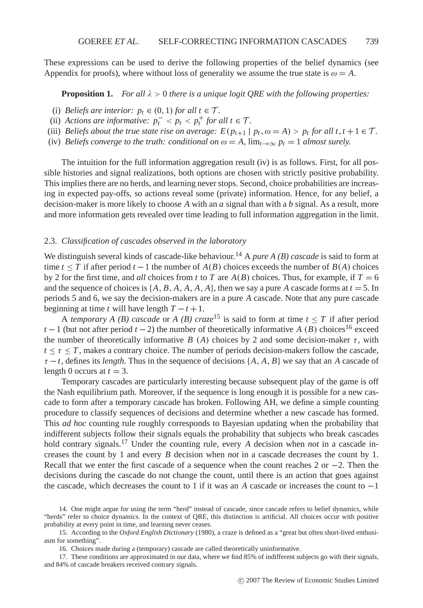These expressions can be used to derive the following properties of the belief dynamics (see Appendix for proofs), where without loss of generality we assume the true state is  $\omega = A$ .

**Proposition 1.** *For all*  $\lambda > 0$  *there is a unique logit QRE with the following properties:* 

- (i) *Beliefs are interior:*  $p_t \in (0,1)$  *for all*  $t \in \mathcal{T}$ *.*
- (ii) *Actions are informative:*  $p_t^- < p_t < p_t^+$  *for all t*  $\in \mathcal{T}$ *.*
- (iii) *Beliefs about the true state rise on average:*  $E(p_{t+1} | p_t, \omega = A) > p_t$  *for all t*,  $t + 1 \in T$ *.*
- (iv) *Beliefs converge to the truth: conditional on*  $\omega = A$ ,  $\lim_{t\to\infty} p_t = 1$  *almost surely.*

The intuition for the full information aggregation result (iv) is as follows. First, for all possible histories and signal realizations, both options are chosen with strictly positive probability. This implies there are no herds, and learning never stops. Second, choice probabilities are increasing in expected pay-offs, so actions reveal some (private) information. Hence, for any belief, a decision-maker is more likely to choose *A* with an *a* signal than with a *b* signal. As a result, more and more information gets revealed over time leading to full information aggregation in the limit.

### 2.3. *Classification of cascades observed in the laboratory*

We distinguish several kinds of cascade-like behaviour.<sup>14</sup> A *pure A (B) cascade* is said to form at time  $t \leq T$  if after period  $t - 1$  the number of  $A(B)$  choices exceeds the number of  $B(A)$  choices by 2 for the first time, and *all* choices from *t* to *T* are  $A(B)$  choices. Thus, for example, if  $T = 6$ and the sequence of choices is  $\{A, B, A, A, A\}$ , then we say a pure *A* cascade forms at  $t = 5$ . In periods 5 and 6, we say the decision-makers are in a pure *A* cascade. Note that any pure cascade beginning at time *t* will have length  $T - t + 1$ .

A *temporary A (B) cascade* or *A (B) craze*<sup>15</sup> is said to form at time  $t \leq T$  if after period *t* − 1 (but not after period *t* − 2) the number of theoretically informative *A* (*B*) choices<sup>16</sup> exceed the number of theoretically informative *B* (*A*) choices by 2 and some decision-maker  $\tau$ , with  $t \leq \tau \leq T$ , makes a contrary choice. The number of periods decision-makers follow the cascade,  $\tau - t$ , defines its *length*. Thus in the sequence of decisions  $\{A, A, B\}$  we say that an *A* cascade of length 0 occurs at  $t = 3$ .

Temporary cascades are particularly interesting because subsequent play of the game is off the Nash equilibrium path. Moreover, if the sequence is long enough it is possible for a new cascade to form after a temporary cascade has broken. Following AH, we define a simple counting procedure to classify sequences of decisions and determine whether a new cascade has formed. This *ad hoc* counting rule roughly corresponds to Bayesian updating when the probability that indifferent subjects follow their signals equals the probability that subjects who break cascades hold contrary signals.17 Under the counting rule, every *A* decision when *not* in a cascade increases the count by 1 and every *B* decision when *not* in a cascade decreases the count by 1. Recall that we enter the first cascade of a sequence when the count reaches 2 or −2. Then the decisions during the cascade do not change the count, until there is an action that goes against the cascade, which decreases the count to 1 if it was an *A* cascade or increases the count to −1

16. Choices made during a (temporary) cascade are called theoretically uninformative.

17. These conditions are approximated in our data, where we find 85% of indifferent subjects go with their signals, and 84% of cascade breakers received contrary signals.

<sup>14.</sup> One might argue for using the term "herd" instead of cascade, since cascade refers to belief dynamics, while "herds" refer to choice dynamics. In the context of QRE, this distinction is artificial. All choices occur with positive probability at every point in time, and learning never ceases.

<sup>15.</sup> According to the *Oxford English Dictionary* (1980), a craze is defined as a "great but often short-lived enthusiasm for something".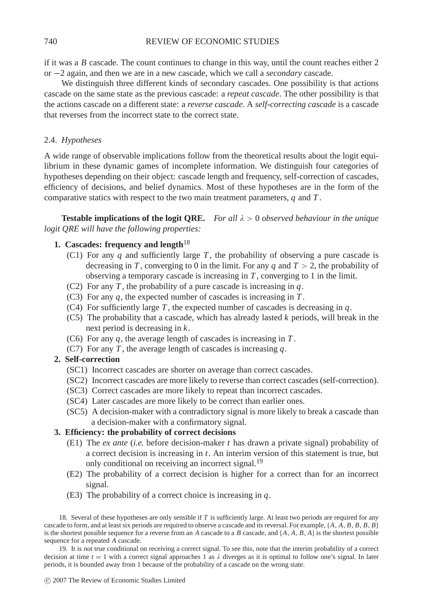if it was a *B* cascade. The count continues to change in this way, until the count reaches either 2 or −2 again, and then we are in a new cascade, which we call a *secondary* cascade.

We distinguish three different kinds of secondary cascades. One possibility is that actions cascade on the same state as the previous cascade: a *repeat cascade*. The other possibility is that the actions cascade on a different state: a *reverse cascade*. A *self-correcting cascade* is a cascade that reverses from the incorrect state to the correct state.

#### 2.4. *Hypotheses*

A wide range of observable implications follow from the theoretical results about the logit equilibrium in these dynamic games of incomplete information. We distinguish four categories of hypotheses depending on their object: cascade length and frequency, self-correction of cascades, efficiency of decisions, and belief dynamics. Most of these hypotheses are in the form of the comparative statics with respect to the two main treatment parameters, *q* and *T* .

**Testable implications of the logit QRE.** *For all* λ > 0 *observed behaviour in the unique logit QRE will have the following properties:*

# **1. Cascades: frequency and length**<sup>18</sup>

- (C1) For any  $q$  and sufficiently large  $T$ , the probability of observing a pure cascade is decreasing in *T*, converging to 0 in the limit. For any *q* and  $T > 2$ , the probability of observing a temporary cascade is increasing in *T* , converging to 1 in the limit.
- (C2) For any *T*, the probability of a pure cascade is increasing in  $q$ .
- (C3) For any *q*, the expected number of cascades is increasing in *T* .
- (C4) For sufficiently large *T* , the expected number of cascades is decreasing in *q*.
- (C5) The probability that a cascade, which has already lasted *k* periods, will break in the next period is decreasing in *k*.
- (C6) For any *q*, the average length of cascades is increasing in *T* .
- (C7) For any *T* , the average length of cascades is increasing *q*.

## **2. Self-correction**

- (SC1) Incorrect cascades are shorter on average than correct cascades.
- (SC2) Incorrect cascades are more likely to reverse than correct cascades (self-correction).
- (SC3) Correct cascades are more likely to repeat than incorrect cascades.
- (SC4) Later cascades are more likely to be correct than earlier ones.
- (SC5) A decision-maker with a contradictory signal is more likely to break a cascade than a decision-maker with a confirmatory signal.

## **3. Efficiency: the probability of correct decisions**

- (E1) The *ex ante* (*i.e.* before decision-maker *t* has drawn a private signal) probability of a correct decision is increasing in *t*. An interim version of this statement is true, but only conditional on receiving an incorrect signal.<sup>19</sup>
- (E2) The probability of a correct decision is higher for a correct than for an incorrect signal.
- (E3) The probability of a correct choice is increasing in *q*.

18. Several of these hypotheses are only sensible if *T* is sufficiently large. At least two periods are required for any cascade to form, and at least six periods are required to observe a cascade and its reversal. For example, {*A*, *A*, *B*, *B*, *B*, *B*} is the shortest possible sequence for a reverse from an *A* cascade to a *B* cascade, and {*A*, *A*, *B*, *A*} is the shortest possible sequence for a repeated *A* cascade.

19. It is *not* true conditional on receiving a correct signal. To see this, note that the interim probability of a correct decision at time  $t = 1$  with a correct signal approaches 1 as  $\lambda$  diverges as it is optimal to follow one's signal. In later periods, it is bounded away from 1 because of the probability of a cascade on the wrong state.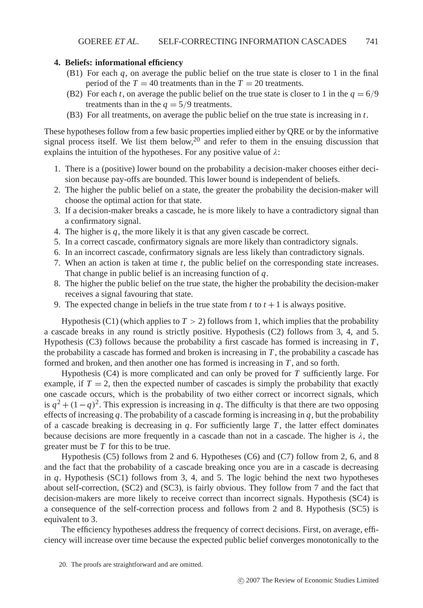### **4. Beliefs: informational efficiency**

- (B1) For each  $q$ , on average the public belief on the true state is closer to 1 in the final period of the  $T = 40$  treatments than in the  $T = 20$  treatments.
- (B2) For each *t*, on average the public belief on the true state is closer to 1 in the  $q = 6/9$ treatments than in the  $q = 5/9$  treatments.
- (B3) For all treatments, on average the public belief on the true state is increasing in *t*.

These hypotheses follow from a few basic properties implied either by QRE or by the informative signal process itself. We list them below,  $20^{\circ}$  and refer to them in the ensuing discussion that explains the intuition of the hypotheses. For any positive value of  $\lambda$ :

- 1. There is a (positive) lower bound on the probability a decision-maker chooses either decision because pay-offs are bounded. This lower bound is independent of beliefs.
- 2. The higher the public belief on a state, the greater the probability the decision-maker will choose the optimal action for that state.
- 3. If a decision-maker breaks a cascade, he is more likely to have a contradictory signal than a confirmatory signal.
- 4. The higher is *q*, the more likely it is that any given cascade be correct.
- 5. In a correct cascade, confirmatory signals are more likely than contradictory signals.
- 6. In an incorrect cascade, confirmatory signals are less likely than contradictory signals.
- 7. When an action is taken at time *t*, the public belief on the corresponding state increases. That change in public belief is an increasing function of *q*.
- 8. The higher the public belief on the true state, the higher the probability the decision-maker receives a signal favouring that state.
- 9. The expected change in beliefs in the true state from  $t$  to  $t + 1$  is always positive.

Hypothesis (C1) (which applies to  $T > 2$ ) follows from 1, which implies that the probability a cascade breaks in any round is strictly positive. Hypothesis (C2) follows from 3, 4, and 5. Hypothesis (C3) follows because the probability a first cascade has formed is increasing in *T* , the probability a cascade has formed and broken is increasing in *T* , the probability a cascade has formed and broken, and then another one has formed is increasing in *T* , and so forth.

Hypothesis (C4) is more complicated and can only be proved for *T* sufficiently large. For example, if  $T = 2$ , then the expected number of cascades is simply the probability that exactly one cascade occurs, which is the probability of two either correct or incorrect signals, which is  $q^2 + (1-q)^2$ . This expression is increasing in *q*. The difficulty is that there are two opposing effects of increasing *q*. The probability of a cascade forming is increasing in *q*, but the probability of a cascade breaking is decreasing in  $q$ . For sufficiently large  $T$ , the latter effect dominates because decisions are more frequently in a cascade than not in a cascade. The higher is  $\lambda$ , the greater must be *T* for this to be true.

Hypothesis (C5) follows from 2 and 6. Hypotheses (C6) and (C7) follow from 2, 6, and 8 and the fact that the probability of a cascade breaking once you are in a cascade is decreasing in *q*. Hypothesis (SC1) follows from 3, 4, and 5. The logic behind the next two hypotheses about self-correction, (SC2) and (SC3), is fairly obvious. They follow from 7 and the fact that decision-makers are more likely to receive correct than incorrect signals. Hypothesis (SC4) is a consequence of the self-correction process and follows from 2 and 8. Hypothesis (SC5) is equivalent to 3.

The efficiency hypotheses address the frequency of correct decisions. First, on average, efficiency will increase over time because the expected public belief converges monotonically to the

<sup>20.</sup> The proofs are straightforward and are omitted.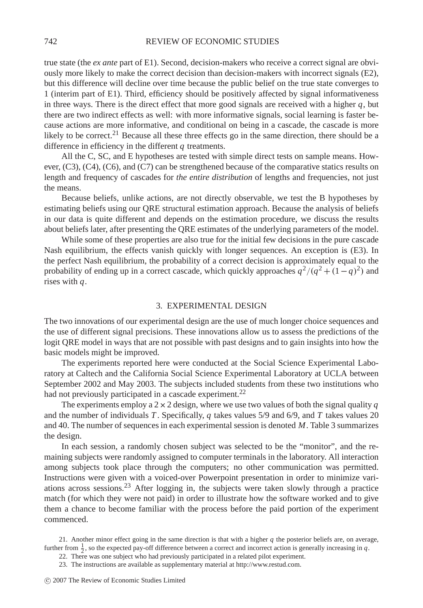true state (the *ex ante* part of E1). Second, decision-makers who receive a correct signal are obviously more likely to make the correct decision than decision-makers with incorrect signals (E2), but this difference will decline over time because the public belief on the true state converges to 1 (interim part of E1). Third, efficiency should be positively affected by signal informativeness in three ways. There is the direct effect that more good signals are received with a higher *q*, but there are two indirect effects as well: with more informative signals, social learning is faster because actions are more informative, and conditional on being in a cascade, the cascade is more likely to be correct.<sup>21</sup> Because all these three effects go in the same direction, there should be a difference in efficiency in the different *q* treatments.

All the C, SC, and E hypotheses are tested with simple direct tests on sample means. However, (C3), (C4), (C6), and (C7) can be strengthened because of the comparative statics results on length and frequency of cascades for *the entire distribution* of lengths and frequencies, not just the means.

Because beliefs, unlike actions, are not directly observable, we test the B hypotheses by estimating beliefs using our QRE structural estimation approach. Because the analysis of beliefs in our data is quite different and depends on the estimation procedure, we discuss the results about beliefs later, after presenting the QRE estimates of the underlying parameters of the model.

While some of these properties are also true for the initial few decisions in the pure cascade Nash equilibrium, the effects vanish quickly with longer sequences. An exception is (E3). In the perfect Nash equilibrium, the probability of a correct decision is approximately equal to the probability of ending up in a correct cascade, which quickly approaches  $q^2/(q^2 + (1-q)^2)$  and rises with *q*.

#### 3. EXPERIMENTAL DESIGN

The two innovations of our experimental design are the use of much longer choice sequences and the use of different signal precisions. These innovations allow us to assess the predictions of the logit QRE model in ways that are not possible with past designs and to gain insights into how the basic models might be improved.

The experiments reported here were conducted at the Social Science Experimental Laboratory at Caltech and the California Social Science Experimental Laboratory at UCLA between September 2002 and May 2003. The subjects included students from these two institutions who had not previously participated in a cascade experiment.<sup>22</sup>

The experiments employ a  $2 \times 2$  design, where we use two values of both the signal quality *q* and the number of individuals *T* . Specifically, *q* takes values 5/9 and 6/9, and *T* takes values 20 and 40. The number of sequences in each experimental session is denoted *M*. Table 3 summarizes the design.

In each session, a randomly chosen subject was selected to be the "monitor", and the remaining subjects were randomly assigned to computer terminals in the laboratory. All interaction among subjects took place through the computers; no other communication was permitted. Instructions were given with a voiced-over Powerpoint presentation in order to minimize variations across sessions.<sup>23</sup> After logging in, the subjects were taken slowly through a practice match (for which they were not paid) in order to illustrate how the software worked and to give them a chance to become familiar with the process before the paid portion of the experiment commenced.

- 22. There was one subject who had previously participated in a related pilot experiment.
- 23. The instructions are available as supplementary material at http://www.restud.com.

<sup>21.</sup> Another minor effect going in the same direction is that with a higher *q* the posterior beliefs are, on average, further from  $\frac{1}{2}$ , so the expected pay-off difference between a correct and incorrect action is generally increasing in *q*.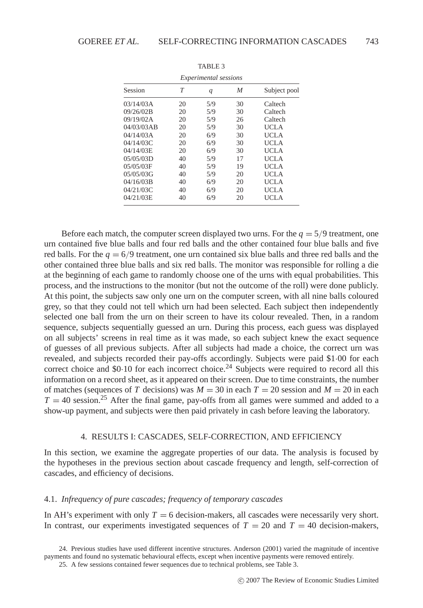|            | <i>Experimental sessions</i> |                  |    |              |  |  |  |  |
|------------|------------------------------|------------------|----|--------------|--|--|--|--|
| Session    | T                            | $\boldsymbol{q}$ | M  | Subject pool |  |  |  |  |
| 03/14/03A  | 20                           | 5/9              | 30 | Caltech      |  |  |  |  |
| 09/26/02B  | 20                           | 5/9              | 30 | Caltech      |  |  |  |  |
| 09/19/02A  | 20                           | 5/9              | 26 | Caltech      |  |  |  |  |
| 04/03/03AB | 20                           | 5/9              | 30 | <b>UCLA</b>  |  |  |  |  |
| 04/14/03A  | 20                           | 6/9              | 30 | <b>UCLA</b>  |  |  |  |  |
| 04/14/03C  | 20                           | 6/9              | 30 | <b>UCLA</b>  |  |  |  |  |
| 04/14/03E  | 20                           | 6/9              | 30 | <b>UCLA</b>  |  |  |  |  |
| 05/05/03D  | 40                           | 5/9              | 17 | <b>UCLA</b>  |  |  |  |  |
| 05/05/03F  | 40                           | 5/9              | 19 | <b>UCLA</b>  |  |  |  |  |
| 05/05/03G  | 40                           | 5/9              | 20 | <b>UCLA</b>  |  |  |  |  |
| 04/16/03B  | 40                           | 6/9              | 20 | <b>UCLA</b>  |  |  |  |  |
| 04/21/03C  | 40                           | 6/9              | 20 | <b>UCLA</b>  |  |  |  |  |
| 04/21/03E  | 40                           | 6/9              | 20 | <b>UCLA</b>  |  |  |  |  |

TABLE 3

Before each match, the computer screen displayed two urns. For the  $q = 5/9$  treatment, one urn contained five blue balls and four red balls and the other contained four blue balls and five red balls. For the  $q = 6/9$  treatment, one urn contained six blue balls and three red balls and the other contained three blue balls and six red balls. The monitor was responsible for rolling a die at the beginning of each game to randomly choose one of the urns with equal probabilities. This process, and the instructions to the monitor (but not the outcome of the roll) were done publicly. At this point, the subjects saw only one urn on the computer screen, with all nine balls coloured grey, so that they could not tell which urn had been selected. Each subject then independently selected one ball from the urn on their screen to have its colour revealed. Then, in a random sequence, subjects sequentially guessed an urn. During this process, each guess was displayed on all subjects' screens in real time as it was made, so each subject knew the exact sequence of guesses of all previous subjects. After all subjects had made a choice, the correct urn was revealed, and subjects recorded their pay-offs accordingly. Subjects were paid \$1·00 for each correct choice and \$0.10 for each incorrect choice.<sup>24</sup> Subjects were required to record all this information on a record sheet, as it appeared on their screen. Due to time constraints, the number of matches (sequences of *T* decisions) was  $M = 30$  in each  $T = 20$  session and  $M = 20$  in each  $T = 40$  session.<sup>25</sup> After the final game, pay-offs from all games were summed and added to a show-up payment, and subjects were then paid privately in cash before leaving the laboratory.

## 4. RESULTS I: CASCADES, SELF-CORRECTION, AND EFFICIENCY

In this section, we examine the aggregate properties of our data. The analysis is focused by the hypotheses in the previous section about cascade frequency and length, self-correction of cascades, and efficiency of decisions.

### 4.1. *Infrequency of pure cascades; frequency of temporary cascades*

In AH's experiment with only  $T = 6$  decision-makers, all cascades were necessarily very short. In contrast, our experiments investigated sequences of  $T = 20$  and  $T = 40$  decision-makers,

<sup>24.</sup> Previous studies have used different incentive structures. Anderson (2001) varied the magnitude of incentive payments and found no systematic behavioural effects, except when incentive payments were removed entirely.

<sup>25.</sup> A few sessions contained fewer sequences due to technical problems, see Table 3.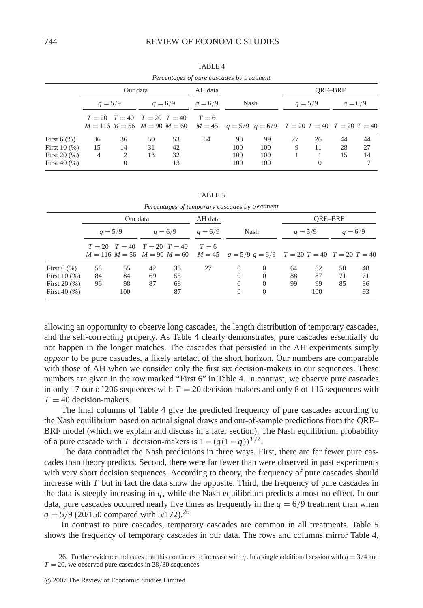|                 |           |                                     |    |           | Percentages of pure cascades by treatment                                                                      |      |     |    |                        |    |    |
|-----------------|-----------|-------------------------------------|----|-----------|----------------------------------------------------------------------------------------------------------------|------|-----|----|------------------------|----|----|
|                 |           | Our data                            |    |           | AH data                                                                                                        |      |     |    | ORE-BRF                |    |    |
|                 | $q = 5/9$ |                                     |    | $q = 6/9$ | $q = 6/9$                                                                                                      | Nash |     |    | $q = 5/9$<br>$q = 6/9$ |    |    |
|                 |           | $T = 20$ $T = 40$ $T = 20$ $T = 40$ |    |           | $T=6$<br>$M = 116$ $M = 56$ $M = 90$ $M = 60$ $M = 45$ $q = 5/9$ $q = 6/9$ $T = 20$ $T = 40$ $T = 20$ $T = 40$ |      |     |    |                        |    |    |
| First $6$ $%$ ) | 36        | 36                                  | 50 | 53        | 64                                                                                                             | 98   | 99  | 27 | 26                     | 44 | 44 |
| First $10\,(%)$ | 15        | 14                                  | 31 | 42        |                                                                                                                | 100  | 100 | 9  | 11                     | 28 | 27 |
| First $20\,(%)$ | 4         | $\mathcal{D}_{\mathcal{L}}$         | 13 | 32        |                                                                                                                | 100  | 100 |    |                        | 15 | 14 |
| First $40\,(%)$ |           | 0                                   |    | 13        |                                                                                                                | 100  | 100 |    | $\Omega$               |    |    |

TABLE 4

TABLE 5

|                  |           |          |    |                                     | Percentages of temporary cascades by treatment                                                                 |          |          |           |     |           |    |
|------------------|-----------|----------|----|-------------------------------------|----------------------------------------------------------------------------------------------------------------|----------|----------|-----------|-----|-----------|----|
|                  |           | Our data |    |                                     | AH data                                                                                                        |          |          | ORE-BRF   |     |           |    |
|                  | $q = 5/9$ |          |    | $q = 6/9$                           | Nash<br>$q = 6/9$                                                                                              |          |          | $q = 5/9$ |     | $q = 6/9$ |    |
|                  |           |          |    | $T = 20$ $T = 40$ $T = 20$ $T = 40$ | $T=6$<br>$M = 116$ $M = 56$ $M = 90$ $M = 60$ $M = 45$ $q = 5/9$ $q = 6/9$ $T = 20$ $T = 40$ $T = 20$ $T = 40$ |          |          |           |     |           |    |
| First $6$ $%$ )  | 58        | 55       | 42 | 38                                  | 27                                                                                                             | $\Omega$ | $\Omega$ | 64        | 62  | 50        | 48 |
| First $10\,(%)$  | 84        | 84       | 69 | 55                                  |                                                                                                                | $\Omega$ | $\Omega$ | 88        | 87  | 71        | 71 |
| First $20\,(%)$  | 96        | 98       | 87 | 68                                  |                                                                                                                | $\Omega$ | $\Omega$ | 99        | 99  | 85        | 86 |
| First $40$ $%$ ) |           | 100      |    | 87                                  |                                                                                                                | $\Omega$ | $\Omega$ |           | 100 |           | 93 |

allowing an opportunity to observe long cascades, the length distribution of temporary cascades, and the self-correcting property. As Table 4 clearly demonstrates, pure cascades essentially do not happen in the longer matches. The cascades that persisted in the AH experiments simply *appear* to be pure cascades, a likely artefact of the short horizon. Our numbers are comparable with those of AH when we consider only the first six decision-makers in our sequences. These numbers are given in the row marked "First 6" in Table 4. In contrast, we observe pure cascades in only 17 our of 206 sequences with  $T = 20$  decision-makers and only 8 of 116 sequences with  $T = 40$  decision-makers.

The final columns of Table 4 give the predicted frequency of pure cascades according to the Nash equilibrium based on actual signal draws and out-of-sample predictions from the QRE– BRF model (which we explain and discuss in a later section). The Nash equilibrium probability of a pure cascade with *T* decision-makers is  $1-(q(1-q))^{T/2}$ .

The data contradict the Nash predictions in three ways. First, there are far fewer pure cascades than theory predicts. Second, there were far fewer than were observed in past experiments with very short decision sequences. According to theory, the frequency of pure cascades should increase with *T* but in fact the data show the opposite. Third, the frequency of pure cascades in the data is steeply increasing in *q*, while the Nash equilibrium predicts almost no effect. In our data, pure cascades occurred nearly five times as frequently in the  $q = 6/9$  treatment than when *<sup>q</sup>* <sup>=</sup> <sup>5</sup>/9 (20/150 compared with 5/172).<sup>26</sup>

In contrast to pure cascades, temporary cascades are common in all treatments. Table 5 shows the frequency of temporary cascades in our data. The rows and columns mirror Table 4,

<sup>26.</sup> Further evidence indicates that this continues to increase with *q*. In a single additional session with  $q = 3/4$  and  $T = 20$ , we observed pure cascades in 28/30 sequences.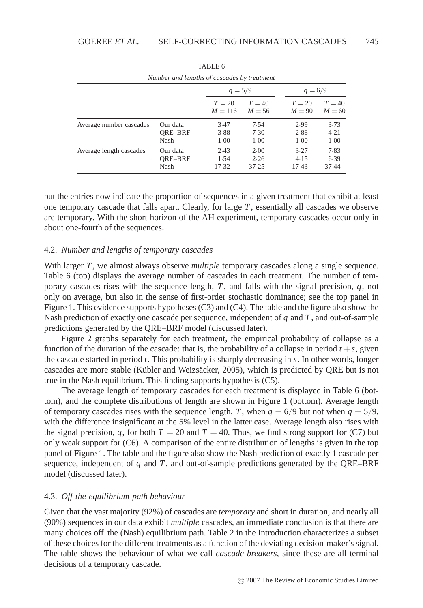|                         | Number and lengths of cascades by treatment |                        |                        |                         |                        |  |  |
|-------------------------|---------------------------------------------|------------------------|------------------------|-------------------------|------------------------|--|--|
|                         |                                             | $q = 5/9$              |                        |                         | $q = 6/9$              |  |  |
|                         |                                             | $T=20$<br>$M = 116$    | $T = 40$<br>$M = 56$   | $T=20$<br>$M = 90$      | $T = 40$<br>$M=60$     |  |  |
| Average number cascades | Our data<br>ORE-BRF<br>Nash                 | 3.47<br>3.88<br>$1-00$ | 7.54<br>7.30<br>$1-00$ | 2.99<br>2.88<br>$1-00$  | 3.73<br>4.21<br>$1-00$ |  |  |
| Average length cascades | Our data<br>ORE-BRF<br>Nash                 | 2.43<br>1.54<br>17.32  | 2.00<br>2.26<br>37.25  | 3.27<br>4.15<br>$17-43$ | 7.83<br>6.39<br>37.44  |  |  |

TABLE 6

but the entries now indicate the proportion of sequences in a given treatment that exhibit at least one temporary cascade that falls apart. Clearly, for large *T* , essentially all cascades we observe are temporary. With the short horizon of the AH experiment, temporary cascades occur only in about one-fourth of the sequences.

#### 4.2. *Number and lengths of temporary cascades*

With larger *T*, we almost always observe *multiple* temporary cascades along a single sequence. Table 6 (top) displays the average number of cascades in each treatment. The number of temporary cascades rises with the sequence length,  $T$ , and falls with the signal precision,  $q$ , not only on average, but also in the sense of first-order stochastic dominance; see the top panel in Figure 1. This evidence supports hypotheses (C3) and (C4). The table and the figure also show the Nash prediction of exactly one cascade per sequence, independent of *q* and *T* , and out-of-sample predictions generated by the QRE–BRF model (discussed later).

Figure 2 graphs separately for each treatment, the empirical probability of collapse as a function of the duration of the cascade: that is, the probability of a collapse in period  $t + s$ , given the cascade started in period *t*. This probability is sharply decreasing in *s*. In other words, longer cascades are more stable (Kübler and Weizsäcker, 2005), which is predicted by QRE but is not true in the Nash equilibrium. This finding supports hypothesis (C5).

The average length of temporary cascades for each treatment is displayed in Table 6 (bottom), and the complete distributions of length are shown in Figure 1 (bottom). Average length of temporary cascades rises with the sequence length, *T*, when  $q = 6/9$  but not when  $q = 5/9$ , with the difference insignificant at the 5% level in the latter case. Average length also rises with the signal precision, *q*, for both  $T = 20$  and  $T = 40$ . Thus, we find strong support for (C7) but only weak support for (C6). A comparison of the entire distribution of lengths is given in the top panel of Figure 1. The table and the figure also show the Nash prediction of exactly 1 cascade per sequence, independent of *q* and *T* , and out-of-sample predictions generated by the QRE–BRF model (discussed later).

#### 4.3. *Off-the-equilibrium-path behaviour*

Given that the vast majority (92%) of cascades are *temporary* and short in duration, and nearly all (90%) sequences in our data exhibit *multiple* cascades, an immediate conclusion is that there are many choices off the (Nash) equilibrium path. Table 2 in the Introduction characterizes a subset of these choices for the different treatments as a function of the deviating decision-maker's signal. The table shows the behaviour of what we call *cascade breakers*, since these are all terminal decisions of a temporary cascade.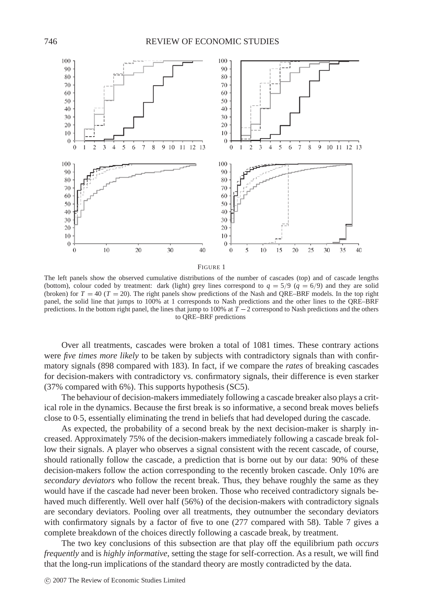

FIGURE 1

The left panels show the observed cumulative distributions of the number of cascades (top) and of cascade lengths (bottom), colour coded by treatment: dark (light) grey lines correspond to  $q = 5/9$  ( $q = 6/9$ ) and they are solid (broken) for  $T = 40$  ( $T = 20$ ). The right panels show predictions of the Nash and QRE–BRF models. In the top right panel, the solid line that jumps to 100% at 1 corresponds to Nash predictions and the other lines to the QRE–BRF predictions. In the bottom right panel, the lines that jump to 100% at *T* −2 correspond to Nash predictions and the others to QRE–BRF predictions

Over all treatments, cascades were broken a total of 1081 times. These contrary actions were *five times more likely* to be taken by subjects with contradictory signals than with confirmatory signals (898 compared with 183). In fact, if we compare the *rates* of breaking cascades for decision-makers with contradictory vs. confirmatory signals, their difference is even starker (37% compared with 6%). This supports hypothesis (SC5).

The behaviour of decision-makers immediately following a cascade breaker also plays a critical role in the dynamics. Because the first break is so informative, a second break moves beliefs close to 0·5, essentially eliminating the trend in beliefs that had developed during the cascade.

As expected, the probability of a second break by the next decision-maker is sharply increased. Approximately 75% of the decision-makers immediately following a cascade break follow their signals. A player who observes a signal consistent with the recent cascade, of course, should rationally follow the cascade, a prediction that is borne out by our data: 90% of these decision-makers follow the action corresponding to the recently broken cascade. Only 10% are *secondary deviators* who follow the recent break. Thus, they behave roughly the same as they would have if the cascade had never been broken. Those who received contradictory signals behaved much differently. Well over half (56%) of the decision-makers with contradictory signals are secondary deviators. Pooling over all treatments, they outnumber the secondary deviators with confirmatory signals by a factor of five to one (277 compared with 58). Table 7 gives a complete breakdown of the choices directly following a cascade break, by treatment.

The two key conclusions of this subsection are that play off the equilibrium path *occurs frequently* and is *highly informative*, setting the stage for self-correction. As a result, we will find that the long-run implications of the standard theory are mostly contradicted by the data.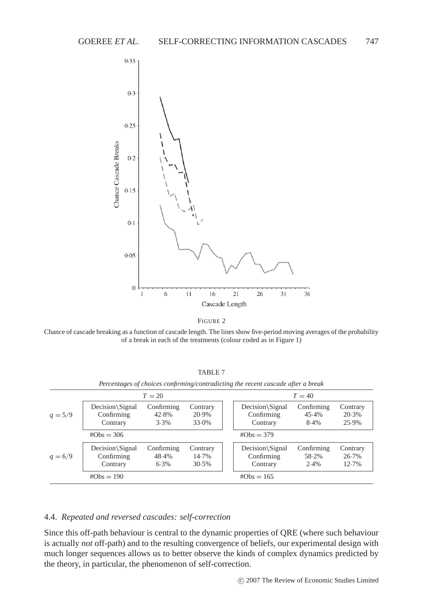

FIGURE 2

Chance of cascade breaking as a function of cascade length. The lines show five-period moving averages of the probability of a break in each of the treatments (colour coded as in Figure 1)

|           |                                           |                             |                            | Percentages of choices confirming/contradicting the recent cascade after a break |                             |                            |
|-----------|-------------------------------------------|-----------------------------|----------------------------|----------------------------------------------------------------------------------|-----------------------------|----------------------------|
|           |                                           | $T=20$                      |                            |                                                                                  | $T=40$                      |                            |
| $q = 5/9$ | Decision\Signal<br>Confirming<br>Contrary | Confirming<br>42.8%<br>3.3% | Contrary<br>20.9%<br>33.0% | Decision\Signal<br>Confirming<br>Contrary                                        | Confirming<br>45.4%<br>8.4% | Contrary<br>20.3%<br>25.9% |
|           | $#Obs = 306$                              |                             |                            | $#Obs = 379$                                                                     |                             |                            |
| $q = 6/9$ | Decision\Signal<br>Confirming<br>Contrary | Confirming<br>48.4%<br>6.3% | Contrary<br>14.7%<br>30.5% | Decision\Signal<br>Confirming<br>Contrary                                        | Confirming<br>58.2%<br>2.4% | Contrary<br>26.7%<br>12.7% |
|           | $#Obs = 190$                              |                             |                            | $#Obs = 165$                                                                     |                             |                            |

TABLE 7 *Percentages of choices confirming/contradicting the recent cascade after a break*

## 4.4. *Repeated and reversed cascades: self-correction*

Since this off-path behaviour is central to the dynamic properties of QRE (where such behaviour is actually *not* off-path) and to the resulting convergence of beliefs, our experimental design with much longer sequences allows us to better observe the kinds of complex dynamics predicted by the theory, in particular, the phenomenon of self-correction.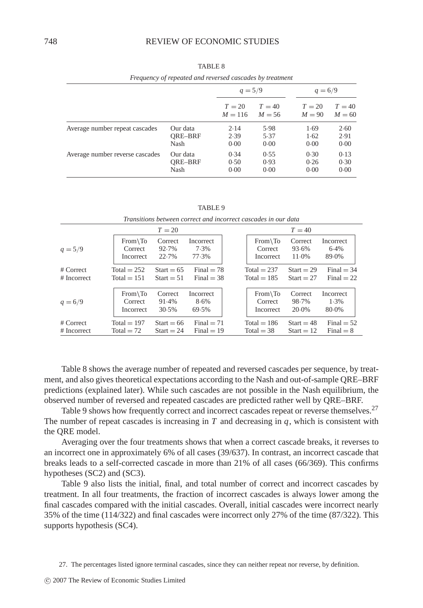| ×<br>۰, |  |
|---------|--|
|         |  |

|                                 | Frequency of repeated and reversed cascades by treatment |                      |                      |                      |                      |  |
|---------------------------------|----------------------------------------------------------|----------------------|----------------------|----------------------|----------------------|--|
|                                 |                                                          | $q = 5/9$            |                      |                      | $q = 6/9$            |  |
|                                 |                                                          | $T=20$<br>$M = 116$  | $T = 40$<br>$M = 56$ | $T = 20$<br>$M = 90$ | $T = 40$<br>$M = 60$ |  |
| Average number repeat cascades  | Our data<br>ORE-BRF<br>Nash                              | 2.14<br>2.39<br>0.00 | 5.98<br>5.37<br>0.00 | 1.69<br>1.62<br>0.00 | 2.60<br>2.91<br>0.00 |  |
| Average number reverse cascades | Our data<br>ORE–BRF<br>Nash                              | 0.34<br>0.50<br>0.00 | 0.55<br>0.93<br>0.00 | 0.30<br>0.26<br>0.00 | 0.13<br>0.30<br>0.00 |  |

TABLE 8

|                            |                                      |                              | Transitions between correct and incorrect cascades in our data |                                             |                              |                               |
|----------------------------|--------------------------------------|------------------------------|----------------------------------------------------------------|---------------------------------------------|------------------------------|-------------------------------|
|                            |                                      | $T=20$                       |                                                                |                                             | $T=40$                       |                               |
| $q = 5/9$                  | $From \, To$<br>Correct<br>Incorrect | Correct<br>92.7%<br>22.7%    | Incorrect<br>7.3%<br>77.3%                                     | $From \, To$<br>Correct<br><b>Incorrect</b> | Correct<br>93.6%<br>11.0%    | Incorrect<br>6.4%<br>89.0%    |
| # Correct<br># Incorrect   | Total $= 252$<br>$Total = 151$       | $Start = 65$<br>$Start = 51$ | $Final = 78$<br>$Final = 38$                                   | $Total = 237$<br>$Total = 185$              | $Start = 29$<br>$Start = 27$ | $Final = 34$<br>$Final = 22$  |
| $q = 6/9$                  | $From \, To$<br>Correct<br>Incorrect | Correct<br>91.4%<br>30.5%    | Incorrect<br>8.6%<br>69.5%                                     | $From \, To$<br>Correct<br>Incorrect        | Correct<br>98.7%<br>20.0%    | Incorrect<br>$1.3\%$<br>80.0% |
| $#$ Correct<br># Incorrect | $Total = 197$<br>Total $= 72$        | $Start = 66$<br>$Start = 24$ | $Final = 71$<br>$Final = 19$                                   | $Total = 186$<br>$Total = 38$               | $Start = 48$<br>$Start = 12$ | $Final = 52$<br>$Final = 8$   |

*Transitions between correct and incorrect cascades in our data*

Table 8 shows the average number of repeated and reversed cascades per sequence, by treatment, and also gives theoretical expectations according to the Nash and out-of-sample QRE–BRF predictions (explained later). While such cascades are not possible in the Nash equilibrium, the observed number of reversed and repeated cascades are predicted rather well by QRE–BRF.

Table 9 shows how frequently correct and incorrect cascades repeat or reverse themselves.<sup>27</sup> The number of repeat cascades is increasing in *T* and decreasing in *q*, which is consistent with the QRE model.

Averaging over the four treatments shows that when a correct cascade breaks, it reverses to an incorrect one in approximately 6% of all cases (39/637). In contrast, an incorrect cascade that breaks leads to a self-corrected cascade in more than 21% of all cases (66/369). This confirms hypotheses (SC2) and (SC3).

Table 9 also lists the initial, final, and total number of correct and incorrect cascades by treatment. In all four treatments, the fraction of incorrect cascades is always lower among the final cascades compared with the initial cascades. Overall, initial cascades were incorrect nearly 35% of the time (114/322) and final cascades were incorrect only 27% of the time (87/322). This supports hypothesis (SC4).

<sup>27.</sup> The percentages listed ignore terminal cascades, since they can neither repeat nor reverse, by definition.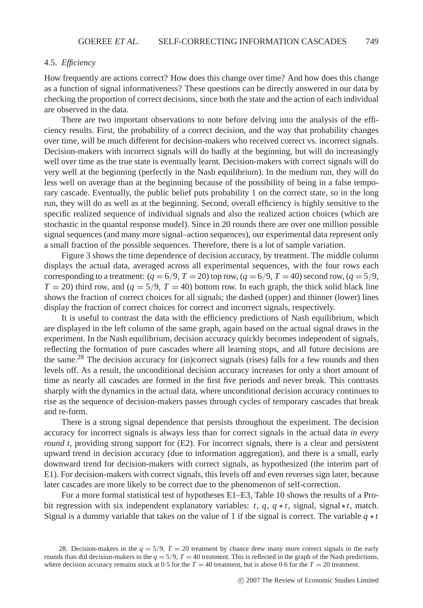#### 4.5. *Efficiency*

How frequently are actions correct? How does this change over time? And how does this change as a function of signal informativeness? These questions can be directly answered in our data by checking the proportion of correct decisions, since both the state and the action of each individual are observed in the data.

There are two important observations to note before delving into the analysis of the efficiency results. First, the probability of a correct decision, and the way that probability changes over time, will be much different for decision-makers who received correct vs. incorrect signals. Decision-makers with incorrect signals will do badly at the beginning, but will do increasingly well over time as the true state is eventually learnt. Decision-makers with correct signals will do very well at the beginning (perfectly in the Nash equilibrium). In the medium run, they will do less well on average than at the beginning because of the possibility of being in a false temporary cascade. Eventually, the public belief puts probability 1 on the correct state, so in the long run, they will do as well as at the beginning. Second, overall efficiency is highly sensitive to the specific realized sequence of individual signals and also the realized action choices (which are stochastic in the quantal response model). Since in 20 rounds there are over one million possible signal sequences (and many more signal–action sequences), our experimental data represent only a small fraction of the possible sequences. Therefore, there is a lot of sample variation.

Figure 3 shows the time dependence of decision accuracy, by treatment. The middle column displays the actual data, averaged across all experimental sequences, with the four rows each corresponding to a treatment:  $(q = 6/9, T = 20)$  top row,  $(q = 6/9, T = 40)$  second row,  $(q = 5/9, T = 40)$  $T = 20$ ) third row, and ( $q = 5/9$ ,  $T = 40$ ) bottom row. In each graph, the thick solid black line shows the fraction of correct choices for all signals; the dashed (upper) and thinner (lower) lines display the fraction of correct choices for correct and incorrect signals, respectively.

It is useful to contrast the data with the efficiency predictions of Nash equilibrium, which are displayed in the left column of the same graph, again based on the actual signal draws in the experiment. In the Nash equilibrium, decision accuracy quickly becomes independent of signals, reflecting the formation of pure cascades where all learning stops, and all future decisions are the same.<sup>28</sup> The decision accuracy for (in)correct signals (rises) falls for a few rounds and then levels off. As a result, the unconditional decision accuracy increases for only a short amount of time as nearly all cascades are formed in the first five periods and never break. This contrasts sharply with the dynamics in the actual data, where unconditional decision accuracy continues to rise as the sequence of decision-makers passes through cycles of temporary cascades that break and re-form.

There is a strong signal dependence that persists throughout the experiment. The decision accuracy for incorrect signals is always less than for correct signals in the actual data *in every round t*, providing strong support for (E2). For incorrect signals, there is a clear and persistent upward trend in decision accuracy (due to information aggregation), and there is a small, early downward trend for decision-makers with correct signals, as hypothesized (the interim part of E1). For decision-makers with correct signals, this levels off and even reverses sign later, because later cascades are more likely to be correct due to the phenomenon of self-correction.

For a more formal statistical test of hypotheses E1–E3, Table 10 shows the results of a Probit regression with six independent explanatory variables: *t*, *q*, *q* ∗ *t*, signal, signal∗*t*, match. Signal is a dummy variable that takes on the value of 1 if the signal is correct. The variable  $q * t$ 

<sup>28.</sup> Decision-makers in the  $q = 5/9$ ,  $T = 20$  treatment by chance drew many more correct signals in the early rounds than did decision-makers in the  $q = 5/9$ ,  $T = 40$  treatment. This is reflected in the graph of the Nash predictions, where decision accuracy remains stuck at 0.5 for the  $T = 40$  treatment, but is above 0.6 for the  $T = 20$  treatment.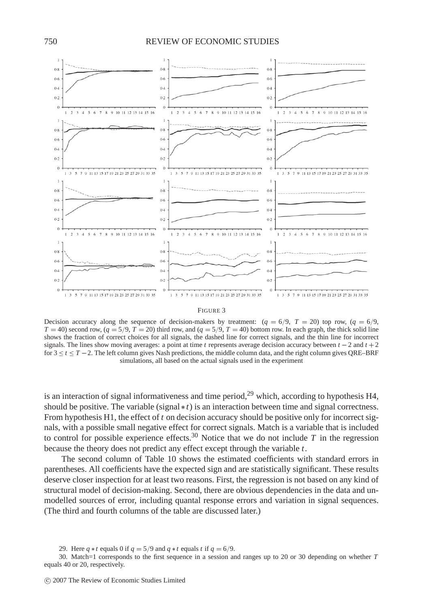

#### FIGURE 3

Decision accuracy along the sequence of decision-makers by treatment:  $(q = 6/9, T = 20)$  top row,  $(q = 6/9, T = 20)$  $T = 40$ ) second row,  $(q = 5/9, T = 20)$  third row, and  $(q = 5/9, T = 40)$  bottom row. In each graph, the thick solid line shows the fraction of correct choices for all signals, the dashed line for correct signals, and the thin line for incorrect signals. The lines show moving averages: a point at time *t* represents average decision accuracy between  $t - 2$  and  $t + 2$ for 3 ≤ *t* ≤ *T* −2. The left column gives Nash predictions, the middle column data, and the right column gives QRE–BRF simulations, all based on the actual signals used in the experiment

is an interaction of signal informativeness and time period,<sup>29</sup> which, according to hypothesis H4, should be positive. The variable (signal∗*t*) is an interaction between time and signal correctness. From hypothesis H1, the effect of *t* on decision accuracy should be positive only for incorrect signals, with a possible small negative effect for correct signals. Match is a variable that is included to control for possible experience effects.<sup>30</sup> Notice that we do not include  $T$  in the regression because the theory does not predict any effect except through the variable *t*.

The second column of Table 10 shows the estimated coefficients with standard errors in parentheses. All coefficients have the expected sign and are statistically significant. These results deserve closer inspection for at least two reasons. First, the regression is not based on any kind of structural model of decision-making. Second, there are obvious dependencies in the data and unmodelled sources of error, including quantal response errors and variation in signal sequences. (The third and fourth columns of the table are discussed later.)

<sup>29.</sup> Here  $q * t$  equals 0 if  $q = 5/9$  and  $q * t$  equals  $t$  if  $q = 6/9$ .

<sup>30.</sup> Match=1 corresponds to the first sequence in a session and ranges up to 20 or 30 depending on whether *T* equals 40 or 20, respectively.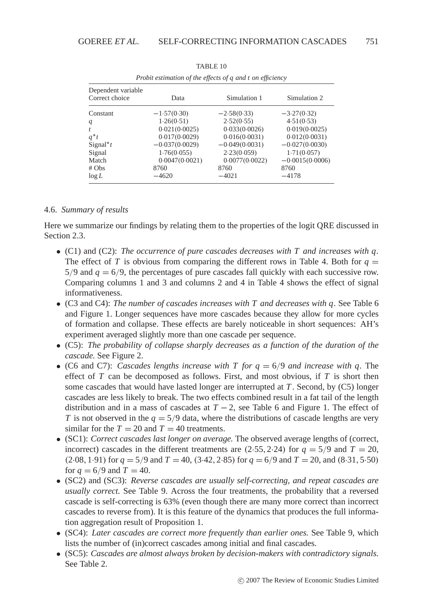| Probit estimation of the effects of q and t on efficiency |                  |                  |                   |  |  |  |
|-----------------------------------------------------------|------------------|------------------|-------------------|--|--|--|
| Dependent variable<br>Correct choice                      | Data             | Simulation 1     | Simulation 2      |  |  |  |
| Constant                                                  | $-1.57(0.30)$    | $-2.58(0.33)$    | $-3.27(0.32)$     |  |  |  |
| q                                                         | 1.26(0.51)       | 2.52(0.55)       | 4.51(0.53)        |  |  |  |
| t                                                         | 0.021(0.0025)    | 0.033(0.0026)    | 0.019(0.0025)     |  |  |  |
| $q^*t$                                                    | 0.017(0.0029)    | 0.016(0.0031)    | 0.012(0.0031)     |  |  |  |
| Signal <sup>*</sup> $t$                                   | $-0.037(0.0029)$ | $-0.049(0.0031)$ | $-0.027(0.0030)$  |  |  |  |
| Signal                                                    | 1.76(0.055)      | 2.23(0.059)      | 1.71(0.057)       |  |  |  |
| Match                                                     | 0.0047(0.0021)   | 0.0077(0.0022)   | $-0.0015(0.0006)$ |  |  |  |
| # Obs                                                     | 8760             | 8760             | 8760              |  |  |  |
| $\log L$                                                  | $-4620$          | $-4021$          | $-4178$           |  |  |  |

TABLE 10

### 4.6. *Summary of results*

Here we summarize our findings by relating them to the properties of the logit QRE discussed in Section 2.3.

- (C1) and (C2): *The occurrence of pure cascades decreases with T and increases with q.* The effect of *T* is obvious from comparing the different rows in Table 4. Both for  $q =$  $5/9$  and  $q = 6/9$ , the percentages of pure cascades fall quickly with each successive row. Comparing columns 1 and 3 and columns 2 and 4 in Table 4 shows the effect of signal informativeness.
- (C3 and C4): *The number of cascades increases with T and decreases with q.* See Table 6 and Figure 1. Longer sequences have more cascades because they allow for more cycles of formation and collapse. These effects are barely noticeable in short sequences: AH's experiment averaged slightly more than one cascade per sequence.
- (C5): *The probability of collapse sharply decreases as a function of the duration of the cascade.* See Figure 2.
- (C6 and C7): *Cascades lengths increase with* T for  $q = 6/9$  *and increase with* q. The effect of *T* can be decomposed as follows. First, and most obvious, if *T* is short then some cascades that would have lasted longer are interrupted at *T* . Second, by (C5) longer cascades are less likely to break. The two effects combined result in a fat tail of the length distribution and in a mass of cascades at *T* − 2, see Table 6 and Figure 1. The effect of *T* is not observed in the  $q = 5/9$  data, where the distributions of cascade lengths are very similar for the  $T = 20$  and  $T = 40$  treatments.
- (SC1): *Correct cascades last longer on average.* The observed average lengths of (correct, incorrect) cascades in the different treatments are  $(2.55, 2.24)$  for  $q = 5/9$  and  $T = 20$ ,  $(2.08, 1.91)$  for  $q = 5/9$  and  $T = 40$ ,  $(3.42, 2.85)$  for  $q = 6/9$  and  $T = 20$ , and  $(8.31, 5.50)$ for  $q = 6/9$  and  $T = 40$ .
- (SC2) and (SC3): *Reverse cascades are usually self-correcting, and repeat cascades are usually correct.* See Table 9. Across the four treatments, the probability that a reversed cascade is self-correcting is 63% (even though there are many more correct than incorrect cascades to reverse from). It is this feature of the dynamics that produces the full information aggregation result of Proposition 1.
- (SC4): *Later cascades are correct more frequently than earlier ones.* See Table 9, which lists the number of (in)correct cascades among initial and final cascades.
- (SC5): *Cascades are almost always broken by decision-makers with contradictory signals.* See Table 2.

c 2007 The Review of Economic Studies Limited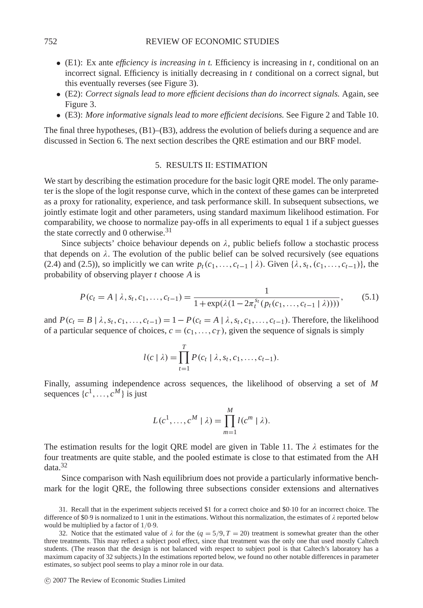- (E1): Ex ante *efficiency is increasing in t.* Efficiency is increasing in *t*, conditional on an incorrect signal. Efficiency is initially decreasing in *t* conditional on a correct signal, but this eventually reverses (see Figure 3).
- (E2): *Correct signals lead to more efficient decisions than do incorrect signals.* Again, see Figure 3.
- (E3): *More informative signals lead to more efficient decisions.* See Figure 2 and Table 10.

The final three hypotheses, (B1)–(B3), address the evolution of beliefs during a sequence and are discussed in Section 6. The next section describes the QRE estimation and our BRF model.

#### 5. RESULTS II: ESTIMATION

We start by describing the estimation procedure for the basic logit QRE model. The only parameter is the slope of the logit response curve, which in the context of these games can be interpreted as a proxy for rationality, experience, and task performance skill. In subsequent subsections, we jointly estimate logit and other parameters, using standard maximum likelihood estimation. For comparability, we choose to normalize pay-offs in all experiments to equal 1 if a subject guesses the state correctly and 0 otherwise.<sup>31</sup>

Since subjects' choice behaviour depends on  $\lambda$ , public beliefs follow a stochastic process that depends on  $\lambda$ . The evolution of the public belief can be solved recursively (see equations (2.4) and (2.5)), so implicitly we can write  $p_t(c_1,\ldots,c_{t-1} | \lambda)$ . Given { $\lambda, s_t, (c_1,\ldots,c_{t-1})$ }, the probability of observing player *t* choose *A* is

$$
P(c_t = A | \lambda, s_t, c_1, \dots, c_{t-1}) = \frac{1}{1 + \exp(\lambda(1 - 2\pi_t^{s_t}(p_t(c_1, \dots, c_{t-1} | \lambda))))},
$$
(5.1)

and  $P(c_t = B | \lambda, s_t, c_1, \ldots, c_{t-1}) = 1 - P(c_t = A | \lambda, s_t, c_1, \ldots, c_{t-1})$ . Therefore, the likelihood of a particular sequence of choices,  $c = (c_1, \ldots, c_T)$ , given the sequence of signals is simply

$$
l(c | \lambda) = \prod_{t=1}^{T} P(c_t | \lambda, s_t, c_1, \dots, c_{t-1}).
$$

Finally, assuming independence across sequences, the likelihood of observing a set of *M* sequences  $\{c^1, \ldots, c^M\}$  is just

$$
L(c1,..., cM | \lambda) = \prod_{m=1}^{M} l(cm | \lambda).
$$

The estimation results for the logit QRE model are given in Table 11. The  $\lambda$  estimates for the four treatments are quite stable, and the pooled estimate is close to that estimated from the AH data.32

Since comparison with Nash equilibrium does not provide a particularly informative benchmark for the logit QRE, the following three subsections consider extensions and alternatives

<sup>31.</sup> Recall that in the experiment subjects received \$1 for a correct choice and \$0·10 for an incorrect choice. The difference of \$0.9 is normalized to 1 unit in the estimations. Without this normalization, the estimates of  $\lambda$  reported below would be multiplied by a factor of 1/0·9.

<sup>32.</sup> Notice that the estimated value of  $\lambda$  for the  $(q = 5/9, T = 20)$  treatment is somewhat greater than the other three treatments. This may reflect a subject pool effect, since that treatment was the only one that used mostly Caltech students. (The reason that the design is not balanced with respect to subject pool is that Caltech's laboratory has a maximum capacity of 32 subjects.) In the estimations reported below, we found no other notable differences in parameter estimates, so subject pool seems to play a minor role in our data.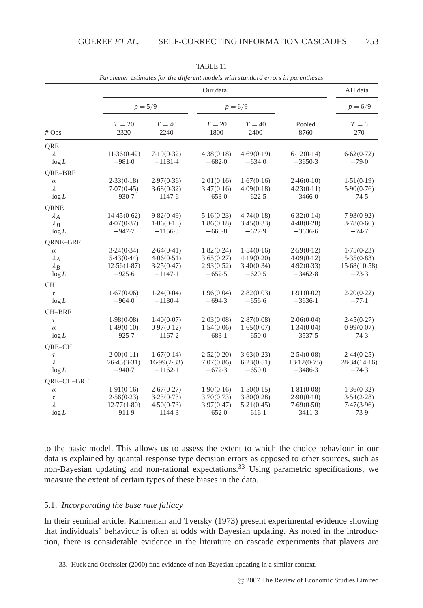|             |                | Our data         |                |                |                |              |
|-------------|----------------|------------------|----------------|----------------|----------------|--------------|
|             |                | $p = 5/9$        |                | $p = 6/9$      |                | $p = 6/9$    |
| # Obs       | $T=20$<br>2320 | $T = 40$<br>2240 | $T=20$<br>1800 | $T=40$<br>2400 | Pooled<br>8760 | $T=6$<br>270 |
| QRE         |                |                  |                |                |                |              |
| λ           | 11.36(0.42)    | 7.19(0.32)       | 4.38(0.18)     | 4.69(0.19)     | 6.12(0.14)     | 6.62(0.72)   |
| $\log L$    | $-981.0$       | $-1181-4$        | $-682.0$       | $-634.0$       | $-3650.3$      | $-79.0$      |
| ORE-BRF     |                |                  |                |                |                |              |
| $\alpha$    | 2.33(0.18)     | 2.97(0.36)       | 2.01(0.16)     | 1.67(0.16)     | 2.46(0.10)     | 1.51(0.19)   |
| $\lambda$   | 7.07(0.45)     | 3.68(0.32)       | 3.47(0.16)     | 4.09(0.18)     | 4.23(0.11)     | 5.90(0.76)   |
| $\log L$    | $-930.7$       | $-1147.6$        | $-653.0$       | $-622.5$       | $-34660$       | $-74.5$      |
| <b>QRNE</b> |                |                  |                |                |                |              |
| $\lambda_A$ | 14.45(0.62)    | 9.82(0.49)       | 5.16(0.23)     | 4.74(0.18)     | 6.32(0.14)     | 7.93(0.92)   |
| $\lambda_B$ | 4.07(0.37)     | 1.86(0.18)       | 1.86(0.18)     | 3.45(0.33)     | 4.48(0.28)     | 3.78(0.66)   |
| $\log L$    | $-947.7$       | $-1156.3$        | $-660.8$       | $-627.9$       | $-3636.6$      | $-74.7$      |
| QRNE-BRF    |                |                  |                |                |                |              |
| $\alpha$    | 3.24(0.34)     | 2.64(0.41)       | 1.82(0.24)     | 1.54(0.16)     | 2.59(0.12)     | 1.75(0.23)   |
| $\lambda_A$ | 5.43(0.44)     | 4.06(0.51)       | 3.65(0.27)     | 4.19(0.20)     | 4.09(0.12)     | 5.35(0.83)   |
| $\lambda_B$ | 12.56(1.87)    | 3.25(0.47)       | 2.93(0.52)     | 3.40(0.34)     | 4.92(0.33)     | 15.68(10.58) |
| $\log L$    | $-925.6$       | $-1147.1$        | $-652.5$       | $-620.5$       | $-3462.8$      | $-73.3$      |
| <b>CH</b>   |                |                  |                |                |                |              |
| $\tau$      | 1.67(0.06)     | 1.24(0.04)       | 1.96(0.04)     | 2.82(0.03)     | 1.91(0.02)     | 2.20(0.22)   |
| $\log L$    | $-964.0$       | $-1180-4$        | $-694.3$       | $-656.6$       | $-3636.1$      | $-77.1$      |
| CH-BRF      |                |                  |                |                |                |              |
| $\tau$      | 1.98(0.08)     | 1.40(0.07)       | 2.03(0.08)     | 2.87(0.08)     | 2.06(0.04)     | 2.45(0.27)   |
| $\alpha$    | 1.49(0.10)     | 0.97(0.12)       | 1.54(0.06)     | 1.65(0.07)     | 1.34(0.04)     | 0.99(0.07)   |
| $\log L$    | $-925.7$       | $-1167.2$        | $-683.1$       | $-650.0$       | $-3537.5$      | $-74.3$      |
| QRE-CH      |                |                  |                |                |                |              |
| $\tau$      | 2.00(0.11)     | 1.67(0.14)       | 2.52(0.20)     | 3.63(0.23)     | 2.54(0.08)     | 2.44(0.25)   |
| $\lambda$   | 26.45(3.31)    | 16.99(2.33)      | 7.07(0.86)     | 6.23(0.51)     | 13.12(0.75)    | 28.34(14.16) |
| $\log L$    | $-940.7$       | $-1162-1$        | $-672.3$       | $-650.0$       | $-3486.3$      | $-74.3$      |
| QRE-CH-BRF  |                |                  |                |                |                |              |
| $\alpha$    | 1.91(0.16)     | 2.67(0.27)       | 1.90(0.16)     | 1.50(0.15)     | 1.81(0.08)     | 1.36(0.32)   |
| $\tau$      | 2.56(0.23)     | 3.23(0.73)       | 3.70(0.73)     | 3.80(0.28)     | 2.90(0.10)     | 3.54(2.28)   |
| λ           | 12.77(1.80)    | 4.50(0.73)       | 3.97(0.47)     | 5.21(0.45)     | 7.69(0.50)     | 7.47(3.96)   |
| $\log L$    | $-911.9$       | $-1144.3$        | $-652.0$       | $-616-1$       | $-3411.3$      | $-73.9$      |

TABLE 11

to the basic model. This allows us to assess the extent to which the choice behaviour in our data is explained by quantal response type decision errors as opposed to other sources, such as non-Bayesian updating and non-rational expectations.<sup>33</sup> Using parametric specifications, we measure the extent of certain types of these biases in the data.

### 5.1. *Incorporating the base rate fallacy*

In their seminal article, Kahneman and Tversky (1973) present experimental evidence showing that individuals' behaviour is often at odds with Bayesian updating. As noted in the introduction, there is considerable evidence in the literature on cascade experiments that players are

33. Huck and Oechssler (2000) find evidence of non-Bayesian updating in a similar context.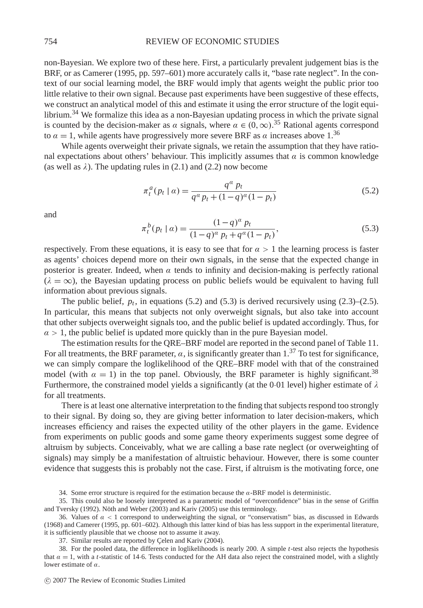#### 754 REVIEW OF ECONOMIC STUDIES

non-Bayesian. We explore two of these here. First, a particularly prevalent judgement bias is the BRF, or as Camerer (1995, pp. 597–601) more accurately calls it, "base rate neglect". In the context of our social learning model, the BRF would imply that agents weight the public prior too little relative to their own signal. Because past experiments have been suggestive of these effects, we construct an analytical model of this and estimate it using the error structure of the logit equilibrium.<sup>34</sup> We formalize this idea as a non-Bayesian updating process in which the private signal is counted by the decision-maker as  $\alpha$  signals, where  $\alpha \in (0, \infty)$ .<sup>35</sup> Rational agents correspond to  $\alpha = 1$ , while agents have progressively more severe BRF as  $\alpha$  increases above 1.<sup>36</sup>

While agents overweight their private signals, we retain the assumption that they have rational expectations about others' behaviour. This implicitly assumes that  $\alpha$  is common knowledge (as well as  $\lambda$ ). The updating rules in (2.1) and (2.2) now become

$$
\pi_t^a(p_t \mid \alpha) = \frac{q^{\alpha} p_t}{q^{\alpha} p_t + (1 - q)^{\alpha} (1 - p_t)}
$$
(5.2)

and

$$
\pi_t^b(p_t | \alpha) = \frac{(1-q)^{\alpha} p_t}{(1-q)^{\alpha} p_t + q^{\alpha} (1-p_t)},
$$
\n(5.3)

respectively. From these equations, it is easy to see that for  $\alpha > 1$  the learning process is faster as agents' choices depend more on their own signals, in the sense that the expected change in posterior is greater. Indeed, when  $\alpha$  tends to infinity and decision-making is perfectly rational  $(\lambda = \infty)$ , the Bayesian updating process on public beliefs would be equivalent to having full information about previous signals.

The public belief,  $p_t$ , in equations (5.2) and (5.3) is derived recursively using (2.3)–(2.5). In particular, this means that subjects not only overweight signals, but also take into account that other subjects overweight signals too, and the public belief is updated accordingly. Thus, for  $\alpha > 1$ , the public belief is updated more quickly than in the pure Bayesian model.

The estimation results for the QRE–BRF model are reported in the second panel of Table 11. For all treatments, the BRF parameter,  $\alpha$ , is significantly greater than 1.<sup>37</sup> To test for significance, we can simply compare the loglikelihood of the QRE–BRF model with that of the constrained model (with  $\alpha = 1$ ) in the top panel. Obviously, the BRF parameter is highly significant.<sup>38</sup> Furthermore, the constrained model yields a significantly (at the 0.01 level) higher estimate of  $\lambda$ for all treatments.

There is at least one alternative interpretation to the finding that subjects respond too strongly to their signal. By doing so, they are giving better information to later decision-makers, which increases efficiency and raises the expected utility of the other players in the game. Evidence from experiments on public goods and some game theory experiments suggest some degree of altruism by subjects. Conceivably, what we are calling a base rate neglect (or overweighting of signals) may simply be a manifestation of altruistic behaviour. However, there is some counter evidence that suggests this is probably not the case. First, if altruism is the motivating force, one

37. Similar results are reported by Çelen and Kariv (2004).

38. For the pooled data, the difference in loglikelihoods is nearly 200. A simple *t*-test also rejects the hypothesis that  $\alpha = 1$ , with a *t*-statistic of 14.6. Tests conducted for the AH data also reject the constrained model, with a slightly lower estimate of  $\alpha$ .

<sup>34.</sup> Some error structure is required for the estimation because the  $\alpha$ -BRF model is deterministic.

<sup>35.</sup> This could also be loosely interpreted as a parametric model of "overconfidence" bias in the sense of Griffin and Tversky (1992). Nöth and Weber (2003) and Kariv (2005) use this terminology.

<sup>36.</sup> Values of  $\alpha < 1$  correspond to underweighting the signal, or "conservatism" bias, as discussed in Edwards (1968) and Camerer (1995, pp. 601–602). Although this latter kind of bias has less support in the experimental literature, it is sufficiently plausible that we choose not to assume it away.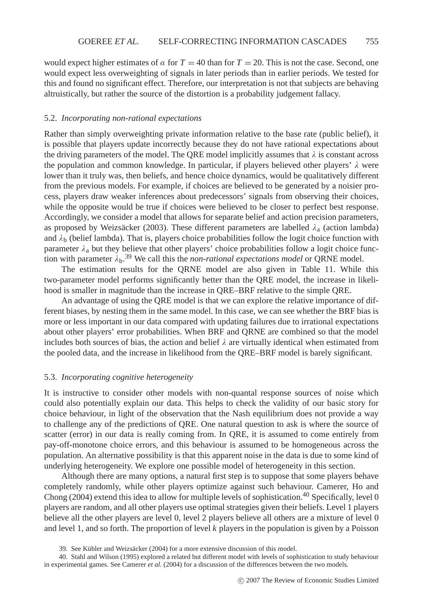would expect higher estimates of  $\alpha$  for  $T = 40$  than for  $T = 20$ . This is not the case. Second, one would expect less overweighting of signals in later periods than in earlier periods. We tested for this and found no significant effect. Therefore, our interpretation is not that subjects are behaving altruistically, but rather the source of the distortion is a probability judgement fallacy.

## 5.2. *Incorporating non-rational expectations*

Rather than simply overweighting private information relative to the base rate (public belief), it is possible that players update incorrectly because they do not have rational expectations about the driving parameters of the model. The QRE model implicitly assumes that  $\lambda$  is constant across the population and common knowledge. In particular, if players believed other players'  $\lambda$  were lower than it truly was, then beliefs, and hence choice dynamics, would be qualitatively different from the previous models. For example, if choices are believed to be generated by a noisier process, players draw weaker inferences about predecessors' signals from observing their choices, while the opposite would be true if choices were believed to be closer to perfect best response. Accordingly, we consider a model that allows for separate belief and action precision parameters, as proposed by Weizsäcker (2003). These different parameters are labelled  $\lambda_a$  (action lambda) and  $\lambda_b$  (belief lambda). That is, players choice probabilities follow the logit choice function with parameter  $\lambda_a$  but they believe that other players' choice probabilities follow a logit choice function with parameter  $\lambda_b$ .<sup>39</sup> We call this the *non-rational expectations model* or QRNE model.

The estimation results for the QRNE model are also given in Table 11. While this two-parameter model performs significantly better than the QRE model, the increase in likelihood is smaller in magnitude than the increase in QRE–BRF relative to the simple QRE.

An advantage of using the QRE model is that we can explore the relative importance of different biases, by nesting them in the same model. In this case, we can see whether the BRF bias is more or less important in our data compared with updating failures due to irrational expectations about other players' error probabilities. When BRF and QRNE are combined so that the model includes both sources of bias, the action and belief  $\lambda$  are virtually identical when estimated from the pooled data, and the increase in likelihood from the QRE–BRF model is barely significant.

#### 5.3. *Incorporating cognitive heterogeneity*

It is instructive to consider other models with non-quantal response sources of noise which could also potentially explain our data. This helps to check the validity of our basic story for choice behaviour, in light of the observation that the Nash equilibrium does not provide a way to challenge any of the predictions of QRE. One natural question to ask is where the source of scatter (error) in our data is really coming from. In QRE, it is assumed to come entirely from pay-off-monotone choice errors, and this behaviour is assumed to be homogeneous across the population. An alternative possibility is that this apparent noise in the data is due to some kind of underlying heterogeneity. We explore one possible model of heterogeneity in this section.

Although there are many options, a natural first step is to suppose that some players behave completely randomly, while other players optimize against such behaviour. Camerer, Ho and Chong (2004) extend this idea to allow for multiple levels of sophistication.<sup>40</sup> Specifically, level 0 players are random, and all other players use optimal strategies given their beliefs. Level 1 players believe all the other players are level 0, level 2 players believe all others are a mixture of level 0 and level 1, and so forth. The proportion of level *k* players in the population is given by a Poisson

<sup>39.</sup> See Kübler and Weizsäcker (2004) for a more extensive discussion of this model.

<sup>40.</sup> Stahl and Wilson (1995) explored a related but different model with levels of sophistication to study behaviour in experimental games. See Camerer *et al.* (2004) for a discussion of the differences between the two models.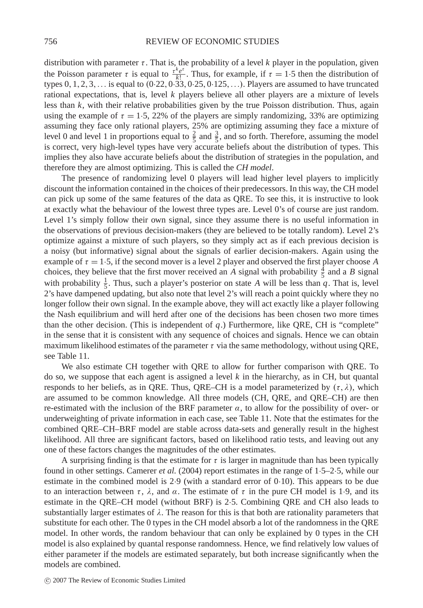distribution with parameter  $\tau$ . That is, the probability of a level  $k$  player in the population, given the Poisson parameter  $\tau$  is equal to  $\frac{\tau^k e^{\tau}}{k!}$ . Thus, for example, if  $\tau = 1.5$  then the distribution of types  $0, 1, 2, 3, ...$  is equal to  $(0.22, 0.33, 0.25, 0.125, ...)$ . Players are assumed to have truncated rational expectations, that is, level *k* players believe all other players are a mixture of levels less than *k*, with their relative probabilities given by the true Poisson distribution. Thus, again using the example of  $\tau = 1.5$ , 22% of the players are simply randomizing, 33% are optimizing assuming they face only rational players, 25% are optimizing assuming they face a mixture of level 0 and level 1 in proportions equal to  $\frac{2}{5}$  and  $\frac{3}{5}$ , and so forth. Therefore, assuming the model is correct, very high-level types have very accurate beliefs about the distribution of types. This implies they also have accurate beliefs about the distribution of strategies in the population, and therefore they are almost optimizing. This is called the *CH model*.

The presence of randomizing level 0 players will lead higher level players to implicitly discount the information contained in the choices of their predecessors. In this way, the CH model can pick up some of the same features of the data as QRE. To see this, it is instructive to look at exactly what the behaviour of the lowest three types are. Level 0's of course are just random. Level 1's simply follow their own signal, since they assume there is no useful information in the observations of previous decision-makers (they are believed to be totally random). Level 2's optimize against a mixture of such players, so they simply act as if each previous decision is a noisy (but informative) signal about the signals of earlier decision-makers. Again using the example of  $\tau = 1.5$ , if the second mover is a level 2 player and observed the first player choose A choices, they believe that the first mover received an *A* signal with probability  $\frac{4}{5}$  and a *B* signal with probability  $\frac{1}{5}$ . Thus, such a player's posterior on state *A* will be less than *q*. That is, level 2's have dampened updating, but also note that level 2's will reach a point quickly where they no longer follow their own signal. In the example above, they will act exactly like a player following the Nash equilibrium and will herd after one of the decisions has been chosen two more times than the other decision. (This is independent of *q*.) Furthermore, like QRE, CH is "complete" in the sense that it is consistent with any sequence of choices and signals. Hence we can obtain maximum likelihood estimates of the parameter  $\tau$  via the same methodology, without using QRE, see Table 11.

We also estimate CH together with QRE to allow for further comparison with QRE. To do so, we suppose that each agent is assigned a level *k* in the hierarchy, as in CH, but quantal responds to her beliefs, as in QRE. Thus, QRE–CH is a model parameterized by  $(\tau, \lambda)$ , which are assumed to be common knowledge. All three models (CH, QRE, and QRE–CH) are then re-estimated with the inclusion of the BRF parameter  $\alpha$ , to allow for the possibility of over- or underweighting of private information in each case, see Table 11. Note that the estimates for the combined QRE–CH–BRF model are stable across data-sets and generally result in the highest likelihood. All three are significant factors, based on likelihood ratio tests, and leaving out any one of these factors changes the magnitudes of the other estimates.

A surprising finding is that the estimate for  $\tau$  is larger in magnitude than has been typically found in other settings. Camerer *et al.* (2004) report estimates in the range of 1·5–2·5, while our estimate in the combined model is  $2.9$  (with a standard error of  $0.10$ ). This appears to be due to an interaction between  $\tau$ ,  $\lambda$ , and  $\alpha$ . The estimate of  $\tau$  in the pure CH model is 1.9, and its estimate in the QRE–CH model (without BRF) is 2·5. Combining QRE and CH also leads to substantially larger estimates of  $\lambda$ . The reason for this is that both are rationality parameters that substitute for each other. The 0 types in the CH model absorb a lot of the randomness in the QRE model. In other words, the random behaviour that can only be explained by 0 types in the CH model is also explained by quantal response randomness. Hence, we find relatively low values of either parameter if the models are estimated separately, but both increase significantly when the models are combined.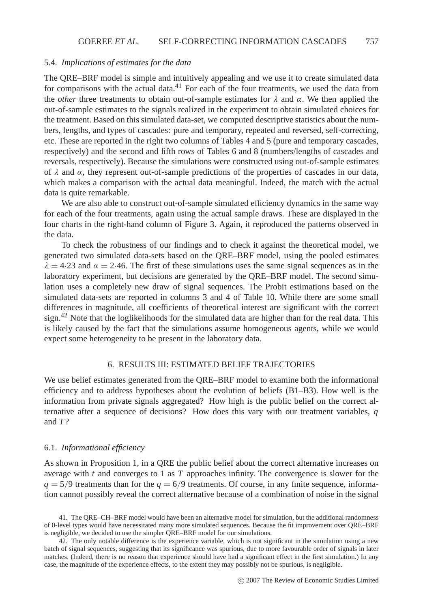## 5.4. *Implications of estimates for the data*

The QRE–BRF model is simple and intuitively appealing and we use it to create simulated data for comparisons with the actual data. $41$  For each of the four treatments, we used the data from the *other* three treatments to obtain out-of-sample estimates for  $\lambda$  and  $\alpha$ . We then applied the out-of-sample estimates to the signals realized in the experiment to obtain simulated choices for the treatment. Based on this simulated data-set, we computed descriptive statistics about the numbers, lengths, and types of cascades: pure and temporary, repeated and reversed, self-correcting, etc. These are reported in the right two columns of Tables 4 and 5 (pure and temporary cascades, respectively) and the second and fifth rows of Tables 6 and 8 (numbers/lengths of cascades and reversals, respectively). Because the simulations were constructed using out-of-sample estimates of  $\lambda$  and  $\alpha$ , they represent out-of-sample predictions of the properties of cascades in our data, which makes a comparison with the actual data meaningful. Indeed, the match with the actual data is quite remarkable.

We are also able to construct out-of-sample simulated efficiency dynamics in the same way for each of the four treatments, again using the actual sample draws. These are displayed in the four charts in the right-hand column of Figure 3. Again, it reproduced the patterns observed in the data.

To check the robustness of our findings and to check it against the theoretical model, we generated two simulated data-sets based on the QRE–BRF model, using the pooled estimates  $\lambda = 4.23$  and  $\alpha = 2.46$ . The first of these simulations uses the same signal sequences as in the laboratory experiment, but decisions are generated by the QRE–BRF model. The second simulation uses a completely new draw of signal sequences. The Probit estimations based on the simulated data-sets are reported in columns 3 and 4 of Table 10. While there are some small differences in magnitude, all coefficients of theoretical interest are significant with the correct sign.<sup>42</sup> Note that the loglikelihoods for the simulated data are higher than for the real data. This is likely caused by the fact that the simulations assume homogeneous agents, while we would expect some heterogeneity to be present in the laboratory data.

#### 6. RESULTS III: ESTIMATED BELIEF TRAJECTORIES

We use belief estimates generated from the QRE–BRF model to examine both the informational efficiency and to address hypotheses about the evolution of beliefs (B1–B3). How well is the information from private signals aggregated? How high is the public belief on the correct alternative after a sequence of decisions? How does this vary with our treatment variables, *q* and *T* ?

#### 6.1. *Informational efficiency*

As shown in Proposition 1, in a QRE the public belief about the correct alternative increases on average with *t* and converges to 1 as *T* approaches infinity. The convergence is slower for the  $q = 5/9$  treatments than for the  $q = 6/9$  treatments. Of course, in any finite sequence, information cannot possibly reveal the correct alternative because of a combination of noise in the signal

<sup>41.</sup> The QRE–CH–BRF model would have been an alternative model for simulation, but the additional randomness of 0-level types would have necessitated many more simulated sequences. Because the fit improvement over QRE–BRF is negligible, we decided to use the simpler QRE–BRF model for our simulations.

<sup>42.</sup> The only notable difference is the experience variable, which is not significant in the simulation using a new batch of signal sequences, suggesting that its significance was spurious, due to more favourable order of signals in later matches. (Indeed, there is no reason that experience should have had a significant effect in the first simulation.) In any case, the magnitude of the experience effects, to the extent they may possibly not be spurious, is negligible.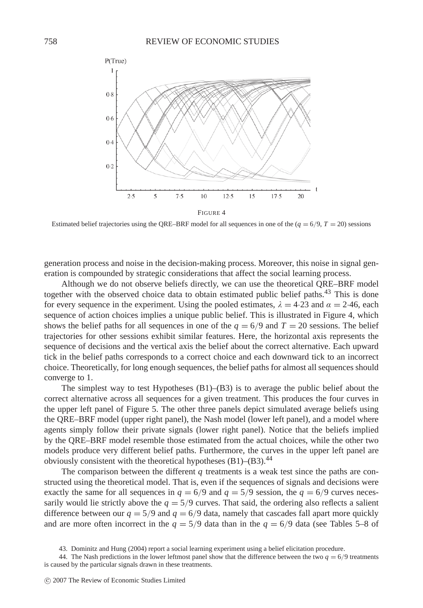

FIGURE 4

Estimated belief trajectories using the QRE–BRF model for all sequences in one of the  $(q = 6/9, T = 20)$  sessions

generation process and noise in the decision-making process. Moreover, this noise in signal generation is compounded by strategic considerations that affect the social learning process.

Although we do not observe beliefs directly, we can use the theoretical QRE–BRF model together with the observed choice data to obtain estimated public belief paths.<sup>43</sup> This is done for every sequence in the experiment. Using the pooled estimates,  $\lambda = 4.23$  and  $\alpha = 2.46$ , each sequence of action choices implies a unique public belief. This is illustrated in Figure 4, which shows the belief paths for all sequences in one of the  $q = 6/9$  and  $T = 20$  sessions. The belief trajectories for other sessions exhibit similar features. Here, the horizontal axis represents the sequence of decisions and the vertical axis the belief about the correct alternative. Each upward tick in the belief paths corresponds to a correct choice and each downward tick to an incorrect choice. Theoretically, for long enough sequences, the belief paths for almost all sequences should converge to 1.

The simplest way to test Hypotheses (B1)–(B3) is to average the public belief about the correct alternative across all sequences for a given treatment. This produces the four curves in the upper left panel of Figure 5. The other three panels depict simulated average beliefs using the QRE–BRF model (upper right panel), the Nash model (lower left panel), and a model where agents simply follow their private signals (lower right panel). Notice that the beliefs implied by the QRE–BRF model resemble those estimated from the actual choices, while the other two models produce very different belief paths. Furthermore, the curves in the upper left panel are obviously consistent with the theoretical hypotheses  $(B1)$ – $(B3)$ .<sup>44</sup>

The comparison between the different  $q$  treatments is a weak test since the paths are constructed using the theoretical model. That is, even if the sequences of signals and decisions were exactly the same for all sequences in  $q = 6/9$  and  $q = 5/9$  session, the  $q = 6/9$  curves necessarily would lie strictly above the  $q = 5/9$  curves. That said, the ordering also reflects a salient difference between our  $q = 5/9$  and  $q = 6/9$  data, namely that cascades fall apart more quickly and are more often incorrect in the  $q = 5/9$  data than in the  $q = 6/9$  data (see Tables 5–8 of

<sup>43.</sup> Dominitz and Hung (2004) report a social learning experiment using a belief elicitation procedure.

<sup>44.</sup> The Nash predictions in the lower leftmost panel show that the difference between the two  $q = 6/9$  treatments is caused by the particular signals drawn in these treatments.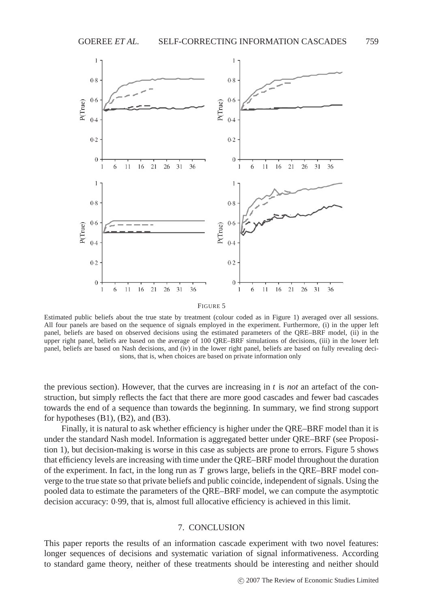

FIGURE 5

Estimated public beliefs about the true state by treatment (colour coded as in Figure 1) averaged over all sessions. All four panels are based on the sequence of signals employed in the experiment. Furthermore, (i) in the upper left panel, beliefs are based on observed decisions using the estimated parameters of the QRE–BRF model, (ii) in the upper right panel, beliefs are based on the average of 100 QRE–BRF simulations of decisions, (iii) in the lower left panel, beliefs are based on Nash decisions, and (iv) in the lower right panel, beliefs are based on fully revealing decisions, that is, when choices are based on private information only

the previous section). However, that the curves are increasing in *t* is *not* an artefact of the construction, but simply reflects the fact that there are more good cascades and fewer bad cascades towards the end of a sequence than towards the beginning. In summary, we find strong support for hypotheses (B1), (B2), and (B3).

Finally, it is natural to ask whether efficiency is higher under the QRE–BRF model than it is under the standard Nash model. Information is aggregated better under QRE–BRF (see Proposition 1), but decision-making is worse in this case as subjects are prone to errors. Figure 5 shows that efficiency levels are increasing with time under the QRE–BRF model throughout the duration of the experiment. In fact, in the long run as *T* grows large, beliefs in the QRE–BRF model converge to the true state so that private beliefs and public coincide, independent of signals. Using the pooled data to estimate the parameters of the QRE–BRF model, we can compute the asymptotic decision accuracy: 0·99, that is, almost full allocative efficiency is achieved in this limit.

#### 7. CONCLUSION

This paper reports the results of an information cascade experiment with two novel features: longer sequences of decisions and systematic variation of signal informativeness. According to standard game theory, neither of these treatments should be interesting and neither should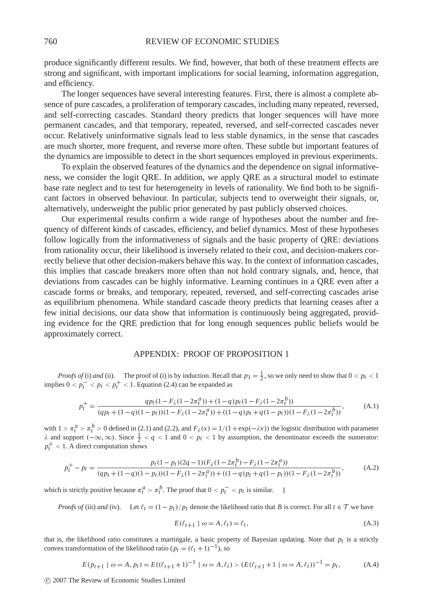produce significantly different results. We find, however, that both of these treatment effects are strong and significant, with important implications for social learning, information aggregation, and efficiency.

The longer sequences have several interesting features. First, there is almost a complete absence of pure cascades, a proliferation of temporary cascades, including many repeated, reversed, and self-correcting cascades. Standard theory predicts that longer sequences will have more permanent cascades, and that temporary, repeated, reversed, and self-corrected cascades never occur. Relatively uninformative signals lead to less stable dynamics, in the sense that cascades are much shorter, more frequent, and reverse more often. These subtle but important features of the dynamics are impossible to detect in the short sequences employed in previous experiments.

To explain the observed features of the dynamics and the dependence on signal informativeness, we consider the logit QRE. In addition, we apply QRE as a structural model to estimate base rate neglect and to test for heterogeneity in levels of rationality. We find both to be significant factors in observed behaviour. In particular, subjects tend to overweight their signals, or, alternatively, underweight the public prior generated by past publicly observed choices.

Our experimental results confirm a wide range of hypotheses about the number and frequency of different kinds of cascades, efficiency, and belief dynamics. Most of these hypotheses follow logically from the informativeness of signals and the basic property of QRE: deviations from rationality occur, their likelihood is inversely related to their cost, and decision-makers correctly believe that other decision-makers behave this way. In the context of information cascades, this implies that cascade breakers more often than not hold contrary signals, and, hence, that deviations from cascades can be highly informative. Learning continues in a QRE even after a cascade forms or breaks, and temporary, repeated, reversed, and self-correcting cascades arise as equilibrium phenomena. While standard cascade theory predicts that learning ceases after a few initial decisions, our data show that information is continuously being aggregated, providing evidence for the QRE prediction that for long enough sequences public beliefs would be approximately correct.

### APPENDIX: PROOF OF PROPOSITION 1

*Proofs of* (i) *and* (ii). The proof of (i) is by induction. Recall that  $p_1 = \frac{1}{2}$ , so we only need to show that  $0 < p_t < 1$  implies  $0 < p_t < p_t^+ < 1$ . Equation (2.4) can be expanded as

$$
p_t^+ = \frac{qp_t(1 - F_\lambda(1 - 2\pi_t^a)) + (1 - q)p_t(1 - F_\lambda(1 - 2\pi_t^b))}{(qp_t + (1 - q)(1 - p_t))(1 - F_\lambda(1 - 2\pi_t^a)) + ((1 - q)p_t + q(1 - p_t))(1 - F_\lambda(1 - 2\pi_t^b))},
$$
(A.1)

with  $1 > \pi_t^a > \pi_t^b > 0$  defined in (2.1) and (2.2), and  $F_{\lambda}(x) = 1/(1 + \exp(-\lambda x))$  the logistic distribution with parameter  $\lambda$  and support  $(-\infty, \infty)$ . Since  $\frac{1}{2} < q < 1$  and  $0 < p_t < 1$  by assumption, the denominator excee  $p_t^+ < 1$ . A direct computation shows

$$
p_t^+ - p_t = \frac{p_t(1 - p_t)(2q - 1)(F_\lambda(1 - 2\pi_t^b) - F_\lambda(1 - 2\pi_t^a))}{(qp_t + (1 - q)(1 - p_t))(1 - F_\lambda(1 - 2\pi_t^a)) + ((1 - q)p_t + q(1 - p_t))(1 - F_\lambda(1 - 2\pi_t^b))},\tag{A.2}
$$

which is strictly positive because  $\pi_t^a > \pi_t^b$ . The proof that  $0 < p_t^- < p_t$  is similar.  $\parallel$ 

*Proofs of* (iii) *and* (iv). Let  $\ell_t = (1 - p_t)/p_t$  denote the likelihood ratio that *B* is correct. For all  $t \in \mathcal{T}$  we have

$$
E(\ell_{t+1} \mid \omega = A, \ell_t) = \ell_t,\tag{A.3}
$$

that is, the likelihood ratio constitutes a martingale, a basic property of Bayesian updating. Note that  $p_t$  is a strictly convex transformation of the likelihood ratio ( $p_t = (\ell_t + 1)^{-1}$ ), so

$$
E(p_{t+1} \mid \omega = A, p_t) = E((\ell_{t+1} + 1)^{-1} \mid \omega = A, \ell_t) > (E(\ell_{t+1} + 1 \mid \omega = A, \ell_t))^{-1} = p_t,
$$
 (A.4)

c 2007 The Review of Economic Studies Limited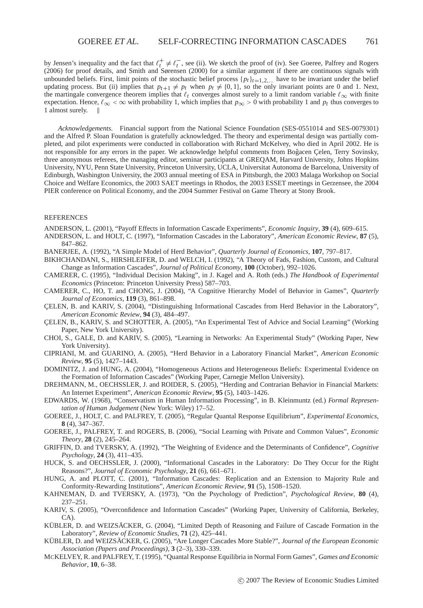by Jensen's inequality and the fact that  $\ell_t^+ \neq \ell_t^-$ , see (ii). We sketch the proof of (iv). See Goeree, Palfrey and Rogers (2006) for proof details, and Smith and Sørensen (2000) for a similar argument if there are continuous signals with unbounded beliefs. First, limit points of the stochastic belief process  $\{p_t\}_{t=1,2,...}$  have to be invariant under the belief updating process. But (ii) implies that  $p_{t+1} \neq p_t$  when  $p_t \neq \{0,1\}$ , so the only invariant points are 0 and 1. Next, the martingale convergence theorem implies that  $\ell_t$  converges almost surely to a limit random variable  $\ell_\infty$  with finite expectation. Hence,  $\ell_{\infty} < \infty$  with probability 1, which implies that  $p_{\infty} > 0$  with probability 1 and  $p_t$  thus converges to 1 almost surely.  $\parallel$ 

*Acknowledgements.* Financial support from the National Science Foundation (SES-0551014 and SES-0079301) and the Alfred P. Sloan Foundation is gratefully acknowledged. The theory and experimental design was partially completed, and pilot experiments were conducted in collaboration with Richard McKelvey, who died in April 2002. He is not responsible for any errors in the paper. We acknowledge helpful comments from Boğacen Çelen, Terry Sovinsky, three anonymous referees, the managing editor, seminar participants at GREQAM, Harvard University, Johns Hopkins University, NYU, Penn State University, Princeton University, UCLA, Universitat Autonoma de Barcelona, University of Edinburgh, Washington University, the 2003 annual meeting of ESA in Pittsburgh, the 2003 Malaga Workshop on Social Choice and Welfare Economics, the 2003 SAET meetings in Rhodos, the 2003 ESSET meetings in Gerzensee, the 2004 PIER conference on Political Economy, and the 2004 Summer Festival on Game Theory at Stony Brook.

#### **REFERENCES**

- ANDERSON, L. (2001), "Payoff Effects in Information Cascade Experiments", *Economic Inquiry*, **39** (4), 609–615.
- ANDERSON, L. and HOLT, C. (1997), "Information Cascades in the Laboratory", *American Economic Review*, **87** (5), 847–862.
- BANERJEE, A. (1992), "A Simple Model of Herd Behavior", *Quarterly Journal of Economics*, **107**, 797–817.
- BIKHCHANDANI, S., HIRSHLEIFER, D. and WELCH, I. (1992), "A Theory of Fads, Fashion, Custom, and Cultural Change as Information Cascades", *Journal of Political Economy*, **100** (October), 992–1026.
- CAMERER, C. (1995), "Individual Decision Making", in J. Kagel and A. Roth (eds.) *The Handbook of Experimental Economics* (Princeton: Princeton University Press) 587–703.
- CAMERER, C., HO, T. and CHONG, J. (2004), "A Cognitive Hierarchy Model of Behavior in Games", *Quarterly Journal of Economics*, **119** (3), 861–898.
- ÇELEN, B. and KARIV, S. (2004), "Distinguishing Informational Cascades from Herd Behavior in the Laboratory", *American Economic Review*, **94** (3), 484–497.
- ÇELEN, B., KARIV, S. and SCHOTTER, A. (2005), "An Experimental Test of Advice and Social Learning" (Working Paper, New York University).
- CHOI, S., GALE, D. and KARIV, S. (2005), "Learning in Networks: An Experimental Study" (Working Paper, New York University).
- CIPRIANI, M. and GUARINO, A. (2005), "Herd Behavior in a Laboratory Financial Market", *American Economic Review*, **95** (5), 1427–1443.
- DOMINITZ, J. and HUNG, A. (2004), "Homogeneous Actions and Heterogeneous Beliefs: Experimental Evidence on the Formation of Information Cascades" (Working Paper, Carnegie Mellon University).
- DREHMANN, M., OECHSSLER, J. and ROIDER, S. (2005), "Herding and Contrarian Behavior in Financial Markets: An Internet Experiment", *American Economic Review*, **95** (5), 1403–1426.
- EDWARDS, W. (1968), "Conservatism in Human Information Processing", in B. Kleinmuntz (ed.) *Formal Representation of Human Judgement* (New York: Wiley) 17–52.
- GOEREE, J., HOLT, C. and PALFREY, T. (2005), "Regular Quantal Response Equilibrium", *Experimental Economics*, **8** (4), 347–367.
- GOEREE, J., PALFREY, T. and ROGERS, B. (2006), "Social Learning with Private and Common Values", *Economic Theory*, **28** (2), 245–264.
- GRIFFIN, D. and TVERSKY, A. (1992), "The Weighting of Evidence and the Determinants of Confidence", *Cognitive Psychology*, **24** (3), 411–435.
- HUCK, S. and OECHSSLER, J. (2000), "Informational Cascades in the Laboratory: Do They Occur for the Right Reasons?", *Journal of Economic Psychology*, **21** (6), 661–671.
- HUNG, A. and PLOTT, C. (2001), "Information Cascades: Replication and an Extension to Majority Rule and Conformity-Rewarding Institutions", *American Economic Review*, **91** (5), 1508–1520.
- KAHNEMAN, D. and TVERSKY, A. (1973), "On the Psychology of Prediction", *Psychological Review*, **80** (4), 237–251.
- KARIV, S. (2005), "Overconfidence and Information Cascades" (Working Paper, University of California, Berkeley,  $(A)$ .
- KÜBLER, D. and WEIZSÄCKER, G. (2004), "Limited Depth of Reasoning and Failure of Cascade Formation in the Laboratory", *Review of Economic Studies*, **71** (2), 425–441.
- KÜBLER, D. and WEIZSÄCKER, G. (2005), "Are Longer Cascades More Stable?", *Journal of the European Economic Association (Papers and Proceedings)*, **3** (2–3), 330–339.
- MCKELVEY, R. and PALFREY, T. (1995), "Quantal Response Equilibria in Normal Form Games", *Games and Economic Behavior*, **10**, 6–38.